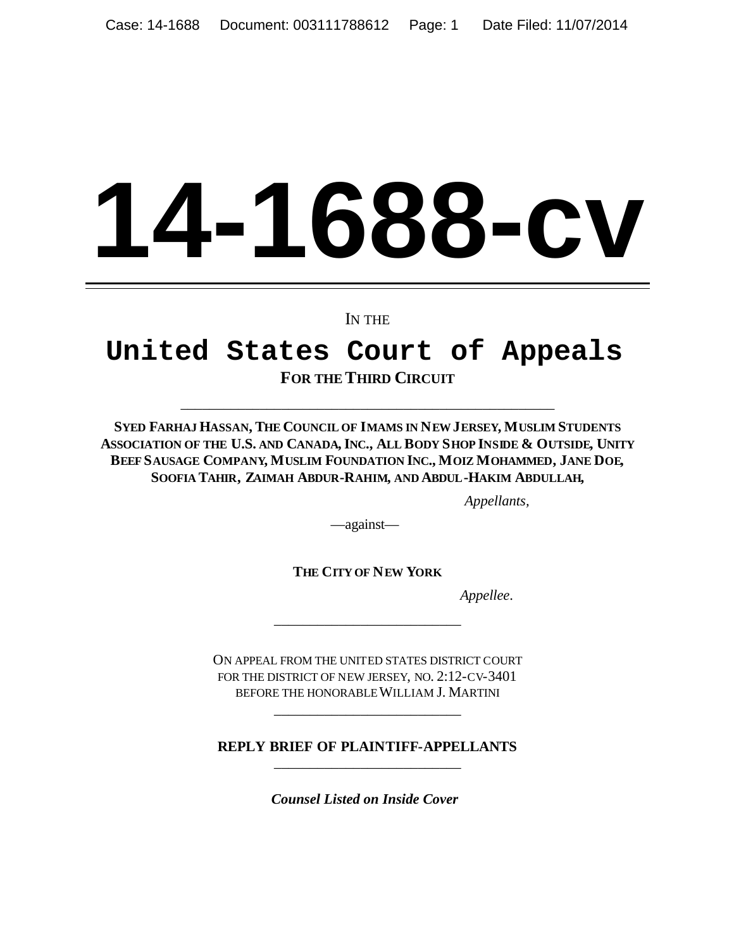# **14-1688-cv**

IN THE

# **United States Court of Appeals FOR THE THIRD CIRCUIT**

SYED FARHAJ HASSAN, THE COUNCIL OF IMAMS IN NEW JERSEY, MUSLIM STUDENTS ASSOCIATION OF THE U.S. AND CANADA, INC., ALL BODY SHOP INSIDE & OUTSIDE, UNITY BEEF SAUSAGE COMPANY, MUSLIM FOUNDATION INC., MOIZ MOHAMMED, JANE DOE, **SOOFIA TAHIR, ZAIMAH ABDUR-RAHIM, AND ABDUL-HAKIM ABDULLAH,**

\_\_\_\_\_\_\_\_\_\_\_\_\_\_\_\_\_\_\_\_\_\_\_\_\_\_\_\_\_\_\_\_\_\_\_\_\_\_\_\_\_\_\_\_\_\_\_\_\_\_\_\_

*Appellants,*

—against—

**THE CITY OF NEW YORK**

\_\_\_\_\_\_\_\_\_\_\_\_\_\_\_\_\_\_\_\_\_\_\_\_\_\_

*Appellee*.

ON APPEAL FROM THE UNITED STATES DISTRICT COURT FOR THE DISTRICT OF NEW JERSEY, NO. 2:12-CV-3401 BEFORE THE HONORABLEWILLIAM J. MARTINI

**REPLY BRIEF OF PLAINTIFF-APPELLANTS** \_\_\_\_\_\_\_\_\_\_\_\_\_\_\_\_\_\_\_\_\_\_\_\_\_\_

\_\_\_\_\_\_\_\_\_\_\_\_\_\_\_\_\_\_\_\_\_\_\_\_\_\_

*Counsel Listed on Inside Cover*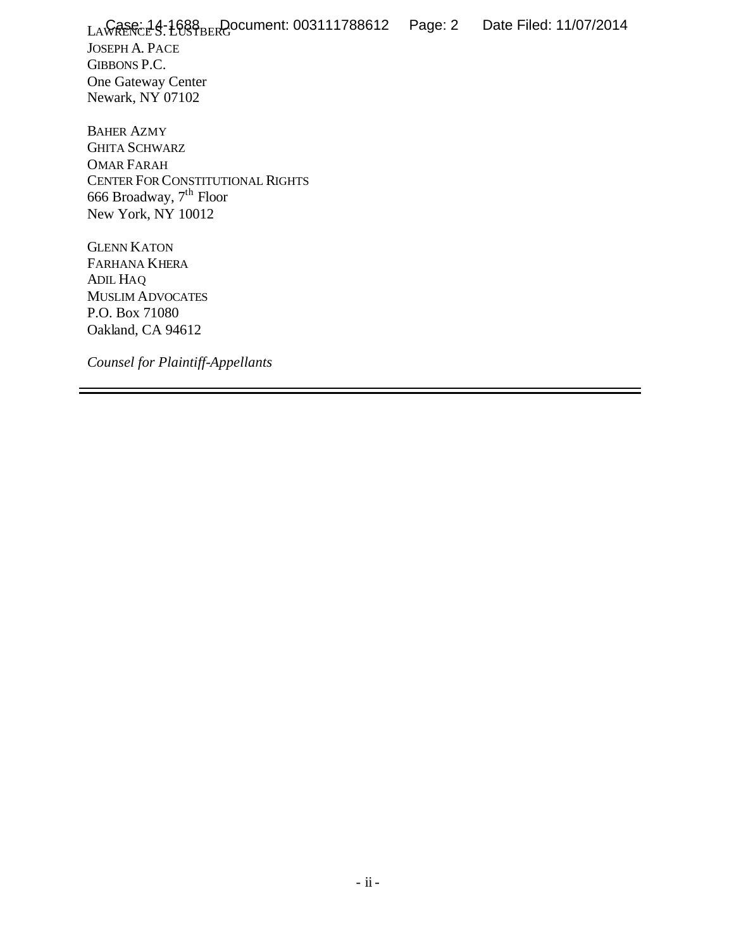LAWRENCE S. LUSTBERG Case: 14-1688 Document: 003111788612 Page: 2 Date Filed: 11/07/2014JOSEPH A. PACE GIBBONS P.C. One Gateway Center Newark, NY 07102

BAHER AZMY GHITA SCHWARZ OMAR FARAH CENTER FOR CONSTITUTIONAL RIGHTS 666 Broadway, 7th Floor New York, NY 10012

GLENN KATON FARHANA KHERA ADIL HAQ MUSLIM ADVOCATES P.O. Box 71080 Oakland, CA 94612

*Counsel for Plaintiff-Appellants*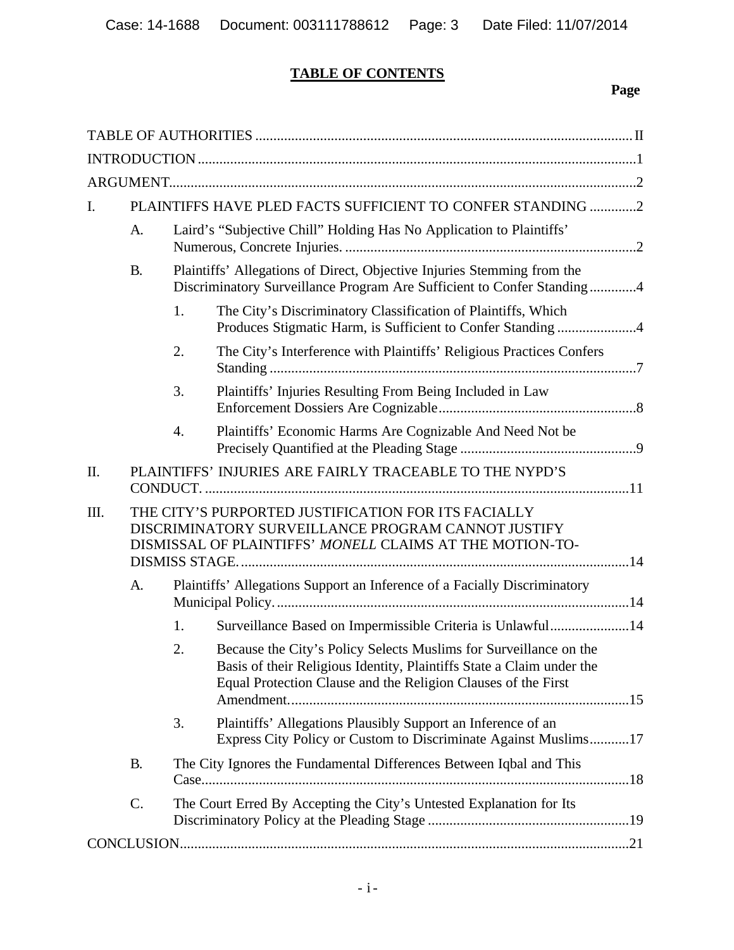# **TABLE OF CONTENTS**

# **Page**

| I. | PLAINTIFFS HAVE PLED FACTS SUFFICIENT TO CONFER STANDING 2                                                                                                            |                                                                                                                                                   |                                                                                                                                                                                                             |  |  |  |
|----|-----------------------------------------------------------------------------------------------------------------------------------------------------------------------|---------------------------------------------------------------------------------------------------------------------------------------------------|-------------------------------------------------------------------------------------------------------------------------------------------------------------------------------------------------------------|--|--|--|
|    | A.                                                                                                                                                                    | Laird's "Subjective Chill" Holding Has No Application to Plaintiffs'                                                                              |                                                                                                                                                                                                             |  |  |  |
|    | <b>B.</b>                                                                                                                                                             | Plaintiffs' Allegations of Direct, Objective Injuries Stemming from the<br>Discriminatory Surveillance Program Are Sufficient to Confer Standing4 |                                                                                                                                                                                                             |  |  |  |
|    |                                                                                                                                                                       | 1.                                                                                                                                                | The City's Discriminatory Classification of Plaintiffs, Which<br>Produces Stigmatic Harm, is Sufficient to Confer Standing 4                                                                                |  |  |  |
|    |                                                                                                                                                                       | 2.                                                                                                                                                | The City's Interference with Plaintiffs' Religious Practices Confers                                                                                                                                        |  |  |  |
|    |                                                                                                                                                                       | 3.                                                                                                                                                | Plaintiffs' Injuries Resulting From Being Included in Law                                                                                                                                                   |  |  |  |
|    |                                                                                                                                                                       | $\overline{4}$ .                                                                                                                                  | Plaintiffs' Economic Harms Are Cognizable And Need Not be                                                                                                                                                   |  |  |  |
| Π. |                                                                                                                                                                       | PLAINTIFFS' INJURIES ARE FAIRLY TRACEABLE TO THE NYPD'S                                                                                           |                                                                                                                                                                                                             |  |  |  |
| Ш. | THE CITY'S PURPORTED JUSTIFICATION FOR ITS FACIALLY<br>DISCRIMINATORY SURVEILLANCE PROGRAM CANNOT JUSTIFY<br>DISMISSAL OF PLAINTIFFS' MONELL CLAIMS AT THE MOTION-TO- |                                                                                                                                                   |                                                                                                                                                                                                             |  |  |  |
|    | A.                                                                                                                                                                    | Plaintiffs' Allegations Support an Inference of a Facially Discriminatory                                                                         |                                                                                                                                                                                                             |  |  |  |
|    |                                                                                                                                                                       | 1.                                                                                                                                                | Surveillance Based on Impermissible Criteria is Unlawful14                                                                                                                                                  |  |  |  |
|    |                                                                                                                                                                       | 2.                                                                                                                                                | Because the City's Policy Selects Muslims for Surveillance on the<br>Basis of their Religious Identity, Plaintiffs State a Claim under the<br>Equal Protection Clause and the Religion Clauses of the First |  |  |  |
|    |                                                                                                                                                                       | 3.                                                                                                                                                | Plaintiffs' Allegations Plausibly Support an Inference of an<br>Express City Policy or Custom to Discriminate Against Muslims17                                                                             |  |  |  |
|    | <b>B.</b>                                                                                                                                                             |                                                                                                                                                   | The City Ignores the Fundamental Differences Between Iqbal and This                                                                                                                                         |  |  |  |
|    | C.                                                                                                                                                                    | The Court Erred By Accepting the City's Untested Explanation for Its                                                                              |                                                                                                                                                                                                             |  |  |  |
|    |                                                                                                                                                                       |                                                                                                                                                   |                                                                                                                                                                                                             |  |  |  |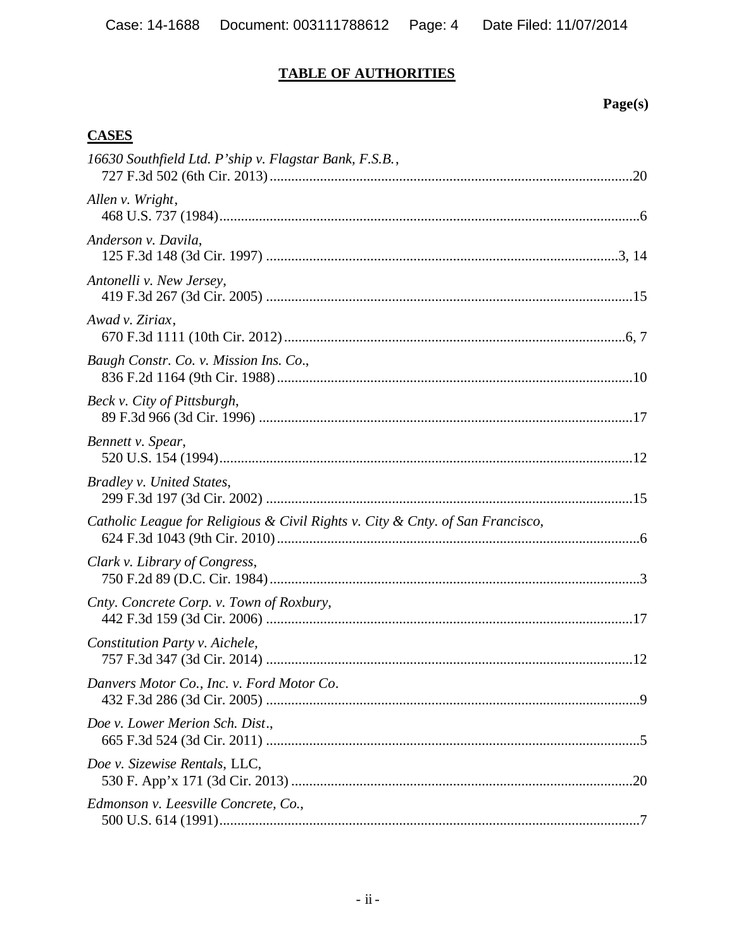# **TABLE OF AUTHORITIES**

# **Page(s)**

# **CASES**

| 16630 Southfield Ltd. P'ship v. Flagstar Bank, F.S.B.,                         |  |
|--------------------------------------------------------------------------------|--|
| Allen v. Wright,                                                               |  |
| Anderson v. Davila,                                                            |  |
| Antonelli v. New Jersey,                                                       |  |
| Awad v. Ziriax,                                                                |  |
| Baugh Constr. Co. v. Mission Ins. Co.,                                         |  |
| Beck v. City of Pittsburgh,                                                    |  |
| Bennett v. Spear,                                                              |  |
| Bradley v. United States,                                                      |  |
| Catholic League for Religious & Civil Rights v. City & Cnty. of San Francisco, |  |
| Clark v. Library of Congress,                                                  |  |
| Cnty. Concrete Corp. v. Town of Roxbury,                                       |  |
| Constitution Party v. Aichele,                                                 |  |
| Danvers Motor Co., Inc. v. Ford Motor Co.                                      |  |
| Doe v. Lower Merion Sch. Dist.,                                                |  |
| Doe v. Sizewise Rentals, LLC,                                                  |  |
| Edmonson v. Leesville Concrete, Co.,                                           |  |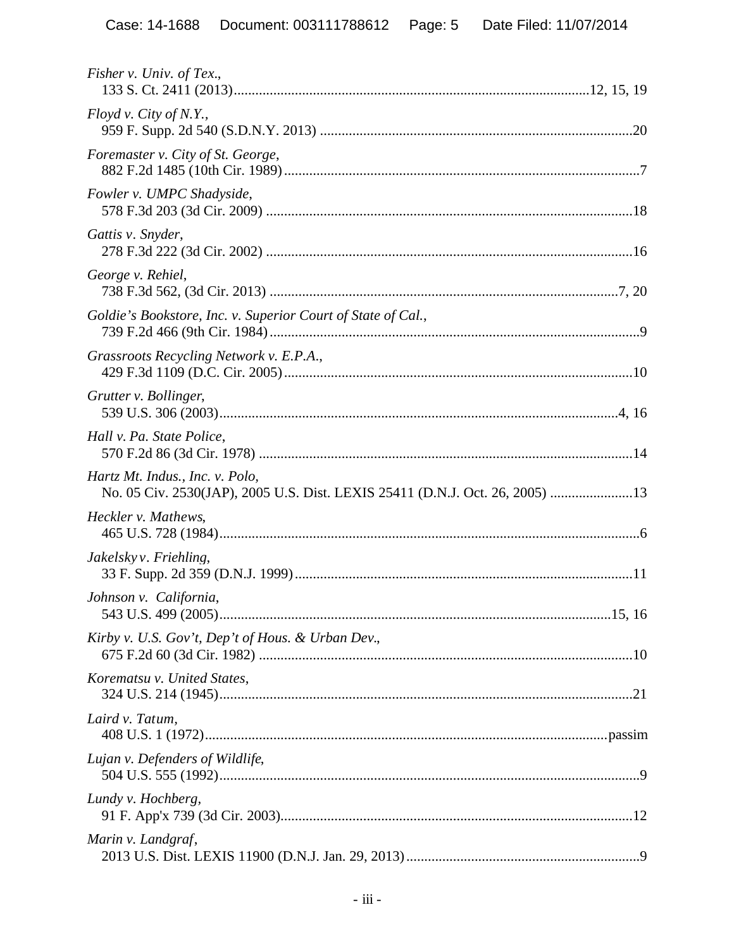| Fisher v. Univ. of Tex.,                                                                                        |
|-----------------------------------------------------------------------------------------------------------------|
| Floyd v. City of N.Y.,                                                                                          |
| Foremaster v. City of St. George,                                                                               |
| Fowler v. UMPC Shadyside,                                                                                       |
| Gattis v. Snyder,                                                                                               |
| George v. Rehiel,                                                                                               |
| Goldie's Bookstore, Inc. v. Superior Court of State of Cal.,                                                    |
| Grassroots Recycling Network v. E.P.A.,                                                                         |
| Grutter v. Bollinger,                                                                                           |
| Hall v. Pa. State Police,                                                                                       |
| Hartz Mt. Indus., Inc. v. Polo,<br>No. 05 Civ. 2530(JAP), 2005 U.S. Dist. LEXIS 25411 (D.N.J. Oct. 26, 2005) 13 |
| Heckler v. Mathews,                                                                                             |
| Jakelskyv. Friehling,                                                                                           |
| Johnson v. California,                                                                                          |
| Kirby v. U.S. Gov't, Dep't of Hous. & Urban Dev.,                                                               |
| Korematsu v. United States,                                                                                     |
| Laird v. Tatum,                                                                                                 |
| Lujan v. Defenders of Wildlife,                                                                                 |
| Lundy v. Hochberg,                                                                                              |
| Marin v. Landgraf,                                                                                              |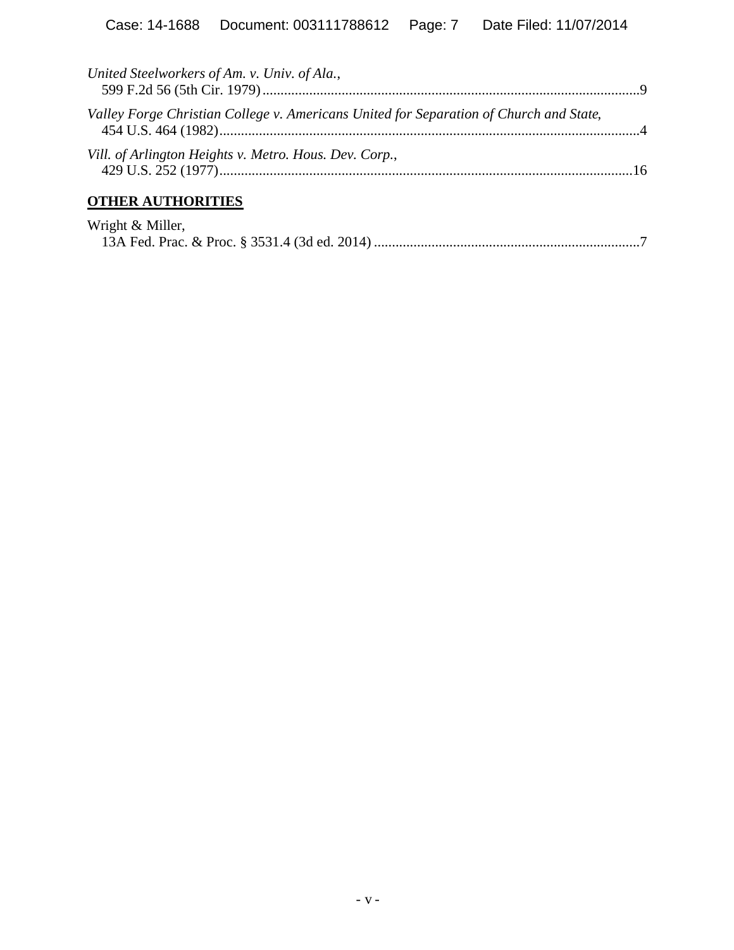| United Steelworkers of Am. v. Univ. of Ala.,                                           |  |
|----------------------------------------------------------------------------------------|--|
| Valley Forge Christian College v. Americans United for Separation of Church and State, |  |
| Vill. of Arlington Heights v. Metro. Hous. Dev. Corp.,                                 |  |
| <b>OTHER AUTHORITIES</b>                                                               |  |

| Wright & Miller, |  |
|------------------|--|
|                  |  |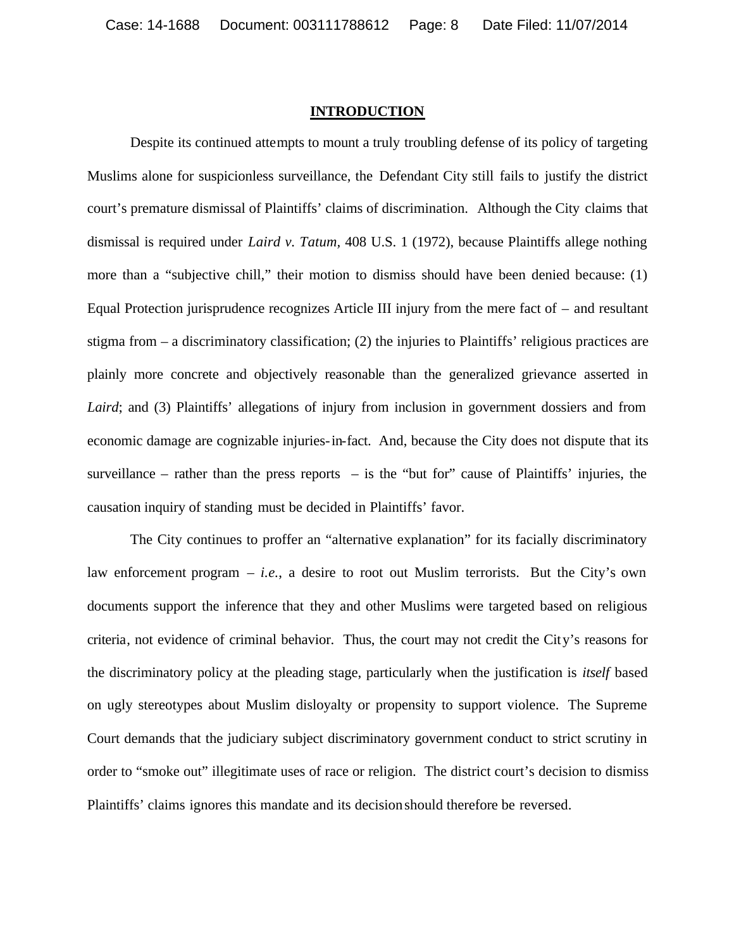#### **INTRODUCTION**

Despite its continued attempts to mount a truly troubling defense of its policy of targeting Muslims alone for suspicionless surveillance, the Defendant City still fails to justify the district court's premature dismissal of Plaintiffs' claims of discrimination. Although the City claims that dismissal is required under *Laird v. Tatum,* 408 U.S. 1 (1972), because Plaintiffs allege nothing more than a "subjective chill," their motion to dismiss should have been denied because: (1) Equal Protection jurisprudence recognizes Article III injury from the mere fact of – and resultant stigma from – a discriminatory classification; (2) the injuries to Plaintiffs' religious practices are plainly more concrete and objectively reasonable than the generalized grievance asserted in *Laird*; and (3) Plaintiffs' allegations of injury from inclusion in government dossiers and from economic damage are cognizable injuries-in-fact. And, because the City does not dispute that its surveillance – rather than the press reports – is the "but for" cause of Plaintiffs' injuries, the causation inquiry of standing must be decided in Plaintiffs' favor.

The City continues to proffer an "alternative explanation" for its facially discriminatory law enforcement program – *i.e.*, a desire to root out Muslim terrorists. But the City's own documents support the inference that they and other Muslims were targeted based on religious criteria, not evidence of criminal behavior. Thus, the court may not credit the City's reasons for the discriminatory policy at the pleading stage, particularly when the justification is *itself* based on ugly stereotypes about Muslim disloyalty or propensity to support violence. The Supreme Court demands that the judiciary subject discriminatory government conduct to strict scrutiny in order to "smoke out" illegitimate uses of race or religion. The district court's decision to dismiss Plaintiffs' claims ignores this mandate and its decision should therefore be reversed.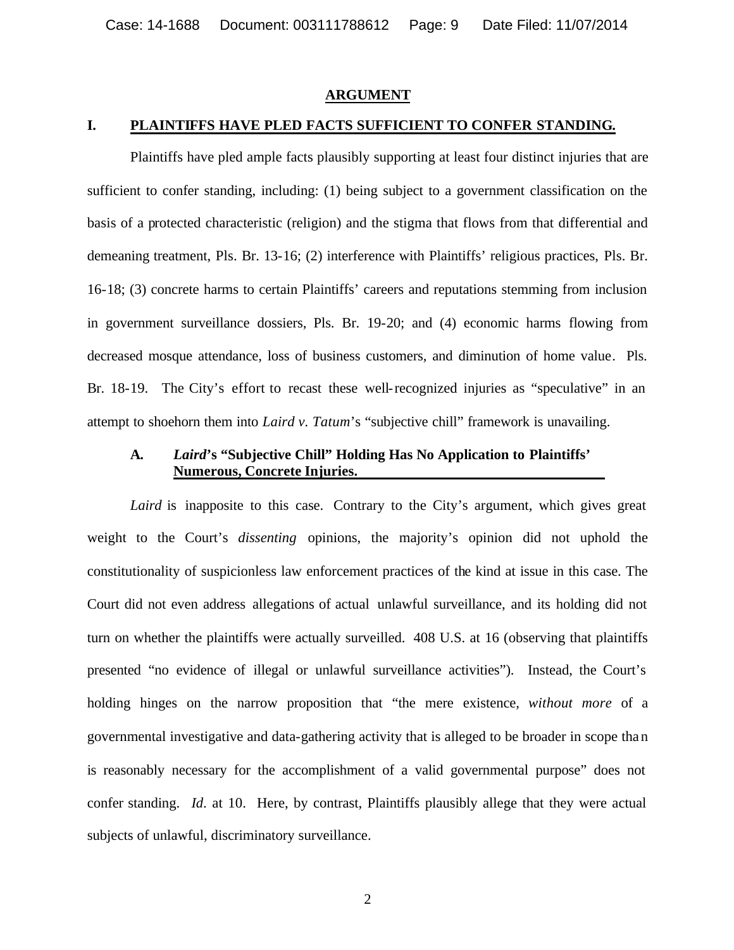#### **ARGUMENT**

#### **I. PLAINTIFFS HAVE PLED FACTS SUFFICIENT TO CONFER STANDING.**

Plaintiffs have pled ample facts plausibly supporting at least four distinct injuries that are sufficient to confer standing, including: (1) being subject to a government classification on the basis of a protected characteristic (religion) and the stigma that flows from that differential and demeaning treatment, Pls. Br. 13-16; (2) interference with Plaintiffs' religious practices, Pls. Br. 16-18; (3) concrete harms to certain Plaintiffs' careers and reputations stemming from inclusion in government surveillance dossiers, Pls. Br. 19-20; and (4) economic harms flowing from decreased mosque attendance, loss of business customers, and diminution of home value. Pls. Br. 18-19. The City's effort to recast these well-recognized injuries as "speculative" in an attempt to shoehorn them into *Laird v. Tatum*'s "subjective chill" framework is unavailing.

#### **A.** *Laird***'s "Subjective Chill" Holding Has No Application to Plaintiffs' Numerous, Concrete Injuries.**

Laird is inapposite to this case. Contrary to the City's argument, which gives great weight to the Court's *dissenting* opinions, the majority's opinion did not uphold the constitutionality of suspicionless law enforcement practices of the kind at issue in this case. The Court did not even address allegations of actual unlawful surveillance, and its holding did not turn on whether the plaintiffs were actually surveilled. 408 U.S. at 16 (observing that plaintiffs presented "no evidence of illegal or unlawful surveillance activities"). Instead, the Court's holding hinges on the narrow proposition that "the mere existence, *without more* of a governmental investigative and data-gathering activity that is alleged to be broader in scope than is reasonably necessary for the accomplishment of a valid governmental purpose" does not confer standing. *Id*. at 10. Here, by contrast, Plaintiffs plausibly allege that they were actual subjects of unlawful, discriminatory surveillance.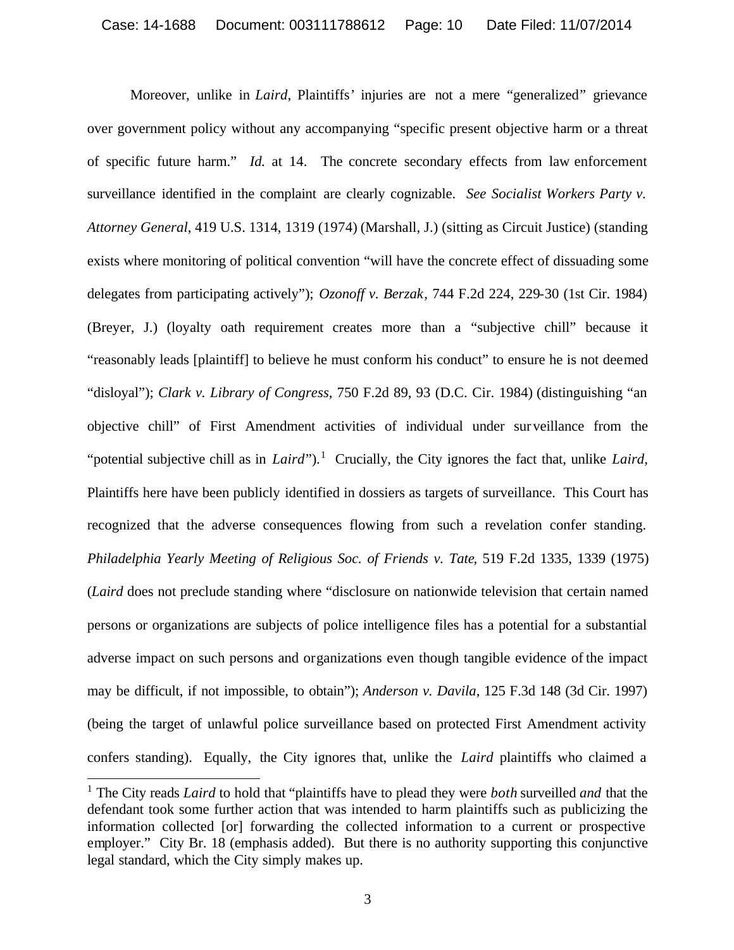Moreover, unlike in *Laird*, Plaintiffs' injuries are not a mere "generalized" grievance over government policy without any accompanying "specific present objective harm or a threat of specific future harm." *Id.* at 14. The concrete secondary effects from law enforcement surveillance identified in the complaint are clearly cognizable. *See Socialist Workers Party v. Attorney General*, 419 U.S. 1314, 1319 (1974) (Marshall, J.) (sitting as Circuit Justice) (standing exists where monitoring of political convention "will have the concrete effect of dissuading some delegates from participating actively"); *Ozonoff v. Berzak*, 744 F.2d 224, 229-30 (1st Cir. 1984) (Breyer, J.) (loyalty oath requirement creates more than a "subjective chill" because it "reasonably leads [plaintiff] to believe he must conform his conduct" to ensure he is not deemed "disloyal"); *Clark v. Library of Congress*, 750 F.2d 89, 93 (D.C. Cir. 1984) (distinguishing "an objective chill" of First Amendment activities of individual under surveillance from the "potential subjective chill as in *Laird*").<sup>1</sup> Crucially, the City ignores the fact that, unlike *Laird*, Plaintiffs here have been publicly identified in dossiers as targets of surveillance. This Court has recognized that the adverse consequences flowing from such a revelation confer standing. *Philadelphia Yearly Meeting of Religious Soc. of Friends v. Tate*, 519 F.2d 1335, 1339 (1975) (*Laird* does not preclude standing where "disclosure on nationwide television that certain named persons or organizations are subjects of police intelligence files has a potential for a substantial adverse impact on such persons and organizations even though tangible evidence of the impact may be difficult, if not impossible, to obtain"); *Anderson v. Davila*, 125 F.3d 148 (3d Cir. 1997) (being the target of unlawful police surveillance based on protected First Amendment activity confers standing). Equally, the City ignores that, unlike the *Laird* plaintiffs who claimed a

<sup>1</sup> The City reads *Laird* to hold that "plaintiffs have to plead they were *both* surveilled *and* that the defendant took some further action that was intended to harm plaintiffs such as publicizing the information collected [or] forwarding the collected information to a current or prospective employer." City Br. 18 (emphasis added). But there is no authority supporting this conjunctive legal standard, which the City simply makes up.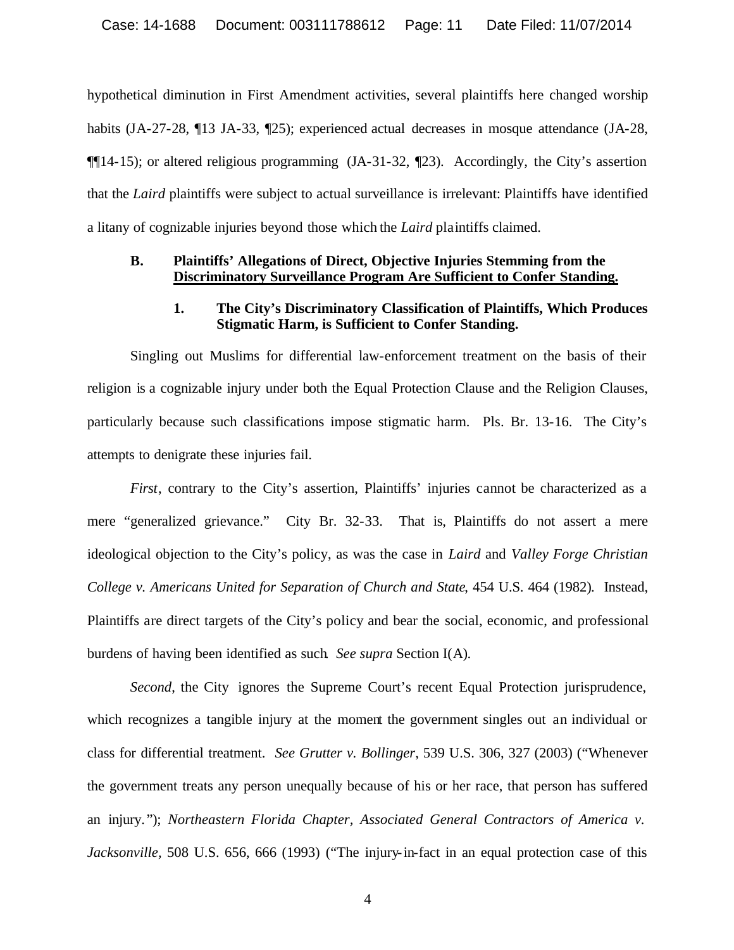hypothetical diminution in First Amendment activities, several plaintiffs here changed worship habits (JA-27-28, ¶13 JA-33, ¶25); experienced actual decreases in mosque attendance (JA-28,  $\P$ [14-15); or altered religious programming (JA-31-32,  $\P$ 23). Accordingly, the City's assertion that the *Laird* plaintiffs were subject to actual surveillance is irrelevant: Plaintiffs have identified a litany of cognizable injuries beyond those which the *Laird* plaintiffs claimed.

#### **B. Plaintiffs' Allegations of Direct, Objective Injuries Stemming from the Discriminatory Surveillance Program Are Sufficient to Confer Standing.**

#### **1. The City's Discriminatory Classification of Plaintiffs, Which Produces Stigmatic Harm, is Sufficient to Confer Standing.**

Singling out Muslims for differential law-enforcement treatment on the basis of their religion is a cognizable injury under both the Equal Protection Clause and the Religion Clauses, particularly because such classifications impose stigmatic harm. Pls. Br. 13-16. The City's attempts to denigrate these injuries fail.

*First*, contrary to the City's assertion, Plaintiffs' injuries cannot be characterized as a mere "generalized grievance." City Br. 32-33. That is, Plaintiffs do not assert a mere ideological objection to the City's policy, as was the case in *Laird* and *Valley Forge Christian College v. Americans United for Separation of Church and State*, 454 U.S. 464 (1982)*.* Instead, Plaintiffs are direct targets of the City's policy and bear the social, economic, and professional burdens of having been identified as such. *See supra* Section I(A).

*Second*, the City ignores the Supreme Court's recent Equal Protection jurisprudence, which recognizes a tangible injury at the moment the government singles out an individual or class for differential treatment. *See Grutter v. Bollinger*, 539 U.S. 306, 327 (2003) ("Whenever the government treats any person unequally because of his or her race, that person has suffered an injury."); *Northeastern Florida Chapter, Associated General Contractors of America v. Jacksonville,* 508 U.S. 656, 666 (1993) ("The injury-in-fact in an equal protection case of this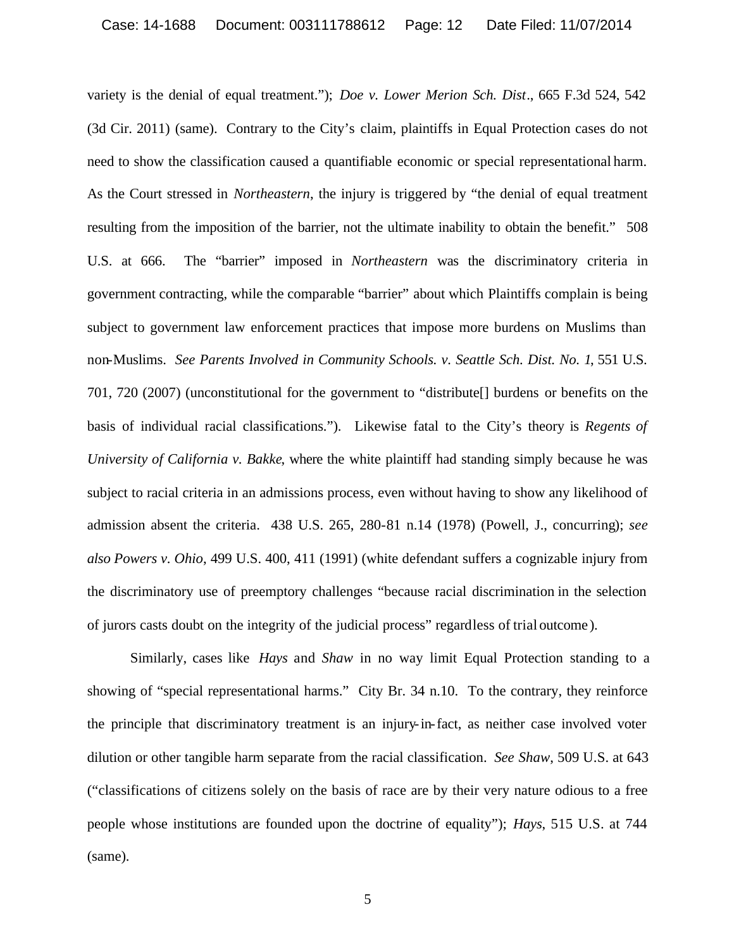variety is the denial of equal treatment."); *Doe v. Lower Merion Sch. Dist*., 665 F.3d 524, 542 (3d Cir. 2011) (same). Contrary to the City's claim, plaintiffs in Equal Protection cases do not need to show the classification caused a quantifiable economic or special representational harm. As the Court stressed in *Northeastern*, the injury is triggered by "the denial of equal treatment resulting from the imposition of the barrier, not the ultimate inability to obtain the benefit." 508 U.S. at 666. The "barrier" imposed in *Northeastern* was the discriminatory criteria in government contracting, while the comparable "barrier" about which Plaintiffs complain is being subject to government law enforcement practices that impose more burdens on Muslims than non-Muslims. *See Parents Involved in Community Schools. v. Seattle Sch. Dist. No. 1*, 551 U.S. 701, 720 (2007) (unconstitutional for the government to "distribute[] burdens or benefits on the basis of individual racial classifications."). Likewise fatal to the City's theory is *Regents of University of California v. Bakke*, where the white plaintiff had standing simply because he was subject to racial criteria in an admissions process, even without having to show any likelihood of admission absent the criteria. 438 U.S. 265, 280-81 n.14 (1978) (Powell, J., concurring); *see also Powers v. Ohio*, 499 U.S. 400, 411 (1991) (white defendant suffers a cognizable injury from the discriminatory use of preemptory challenges "because racial discrimination in the selection of jurors casts doubt on the integrity of the judicial process" regardless of trial outcome ).

Similarly, cases like *Hays* and *Shaw* in no way limit Equal Protection standing to a showing of "special representational harms." City Br. 34 n.10. To the contrary, they reinforce the principle that discriminatory treatment is an injury-in-fact, as neither case involved voter dilution or other tangible harm separate from the racial classification. *See Shaw*, 509 U.S. at 643 ("classifications of citizens solely on the basis of race are by their very nature odious to a free people whose institutions are founded upon the doctrine of equality"); *Hays*, 515 U.S. at 744 (same).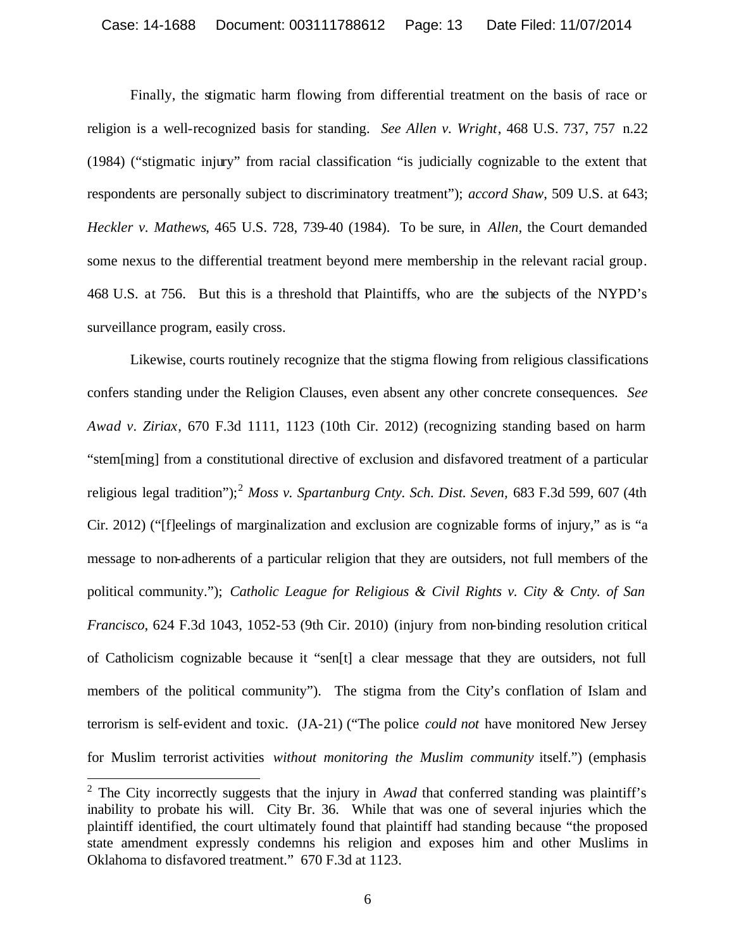Finally, the stigmatic harm flowing from differential treatment on the basis of race or religion is a well-recognized basis for standing. *See Allen v. Wright*, 468 U.S. 737, 757 n.22 (1984) ("stigmatic injury" from racial classification "is judicially cognizable to the extent that respondents are personally subject to discriminatory treatment"); *accord Shaw*, 509 U.S. at 643; *Heckler v. Mathews*, 465 U.S. 728, 739-40 (1984). To be sure, in *Allen*, the Court demanded some nexus to the differential treatment beyond mere membership in the relevant racial group. 468 U.S. at 756. But this is a threshold that Plaintiffs, who are the subjects of the NYPD's surveillance program, easily cross.

Likewise, courts routinely recognize that the stigma flowing from religious classifications confers standing under the Religion Clauses, even absent any other concrete consequences. *See Awad v. Ziriax*, 670 F.3d 1111, 1123 (10th Cir. 2012) (recognizing standing based on harm "stem[ming] from a constitutional directive of exclusion and disfavored treatment of a particular religious legal tradition");<sup>2</sup> *Moss v. Spartanburg Cnty. Sch. Dist. Seven,* 683 F.3d 599, 607 (4th Cir. 2012) ("[f]eelings of marginalization and exclusion are cognizable forms of injury," as is "a message to non-adherents of a particular religion that they are outsiders, not full members of the political community."); *Catholic League for Religious & Civil Rights v. City & Cnty. of San Francisco*, 624 F.3d 1043, 1052-53 (9th Cir. 2010) (injury from non-binding resolution critical of Catholicism cognizable because it "sen[t] a clear message that they are outsiders, not full members of the political community"). The stigma from the City's conflation of Islam and terrorism is self-evident and toxic. (JA-21) ("The police *could not* have monitored New Jersey for Muslim terrorist activities *without monitoring the Muslim community* itself.") (emphasis

<sup>&</sup>lt;sup>2</sup> The City incorrectly suggests that the injury in *Awad* that conferred standing was plaintiff's inability to probate his will. City Br. 36. While that was one of several injuries which the plaintiff identified, the court ultimately found that plaintiff had standing because "the proposed state amendment expressly condemns his religion and exposes him and other Muslims in Oklahoma to disfavored treatment." 670 F.3d at 1123.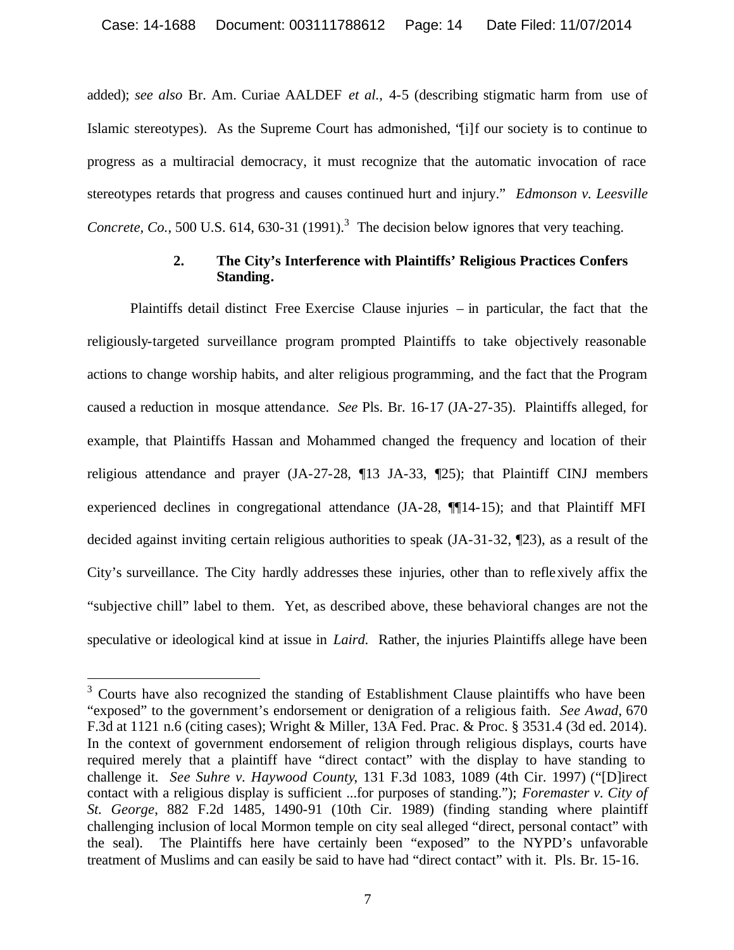added); *see also* Br. Am. Curiae AALDEF *et al.*, 4-5 (describing stigmatic harm from use of Islamic stereotypes). As the Supreme Court has admonished, "[i]f our society is to continue to progress as a multiracial democracy, it must recognize that the automatic invocation of race stereotypes retards that progress and causes continued hurt and injury." *Edmonson v. Leesville*  Concrete, Co., 500 U.S.  $614$ ,  $630-31$   $(1991)$ .<sup>3</sup> The decision below ignores that very teaching.

## **2. The City's Interference with Plaintiffs' Religious Practices Confers Standing.**

Plaintiffs detail distinct Free Exercise Clause injuries – in particular, the fact that the religiously-targeted surveillance program prompted Plaintiffs to take objectively reasonable actions to change worship habits, and alter religious programming, and the fact that the Program caused a reduction in mosque attendance. *See* Pls. Br. 16-17 (JA-27-35). Plaintiffs alleged, for example, that Plaintiffs Hassan and Mohammed changed the frequency and location of their religious attendance and prayer (JA-27-28, ¶13 JA-33, ¶25); that Plaintiff CINJ members experienced declines in congregational attendance (JA-28, ¶¶14-15); and that Plaintiff MFI decided against inviting certain religious authorities to speak (JA-31-32, ¶23), as a result of the City's surveillance. The City hardly addresses these injuries, other than to reflexively affix the "subjective chill" label to them. Yet, as described above, these behavioral changes are not the speculative or ideological kind at issue in *Laird*. Rather, the injuries Plaintiffs allege have been

 $3$  Courts have also recognized the standing of Establishment Clause plaintiffs who have been "exposed" to the government's endorsement or denigration of a religious faith. *See Awad*, 670 F.3d at 1121 n.6 (citing cases); Wright & Miller, 13A Fed. Prac. & Proc. § 3531.4 (3d ed. 2014). In the context of government endorsement of religion through religious displays, courts have required merely that a plaintiff have "direct contact" with the display to have standing to challenge it. *See Suhre v. Haywood County*, 131 F.3d 1083, 1089 (4th Cir. 1997) ("[D]irect contact with a religious display is sufficient ...for purposes of standing."); *Foremaster v. City of St. George*, 882 F.2d 1485, 1490-91 (10th Cir. 1989) (finding standing where plaintiff challenging inclusion of local Mormon temple on city seal alleged "direct, personal contact" with the seal). The Plaintiffs here have certainly been "exposed" to the NYPD's unfavorable treatment of Muslims and can easily be said to have had "direct contact" with it. Pls. Br. 15-16.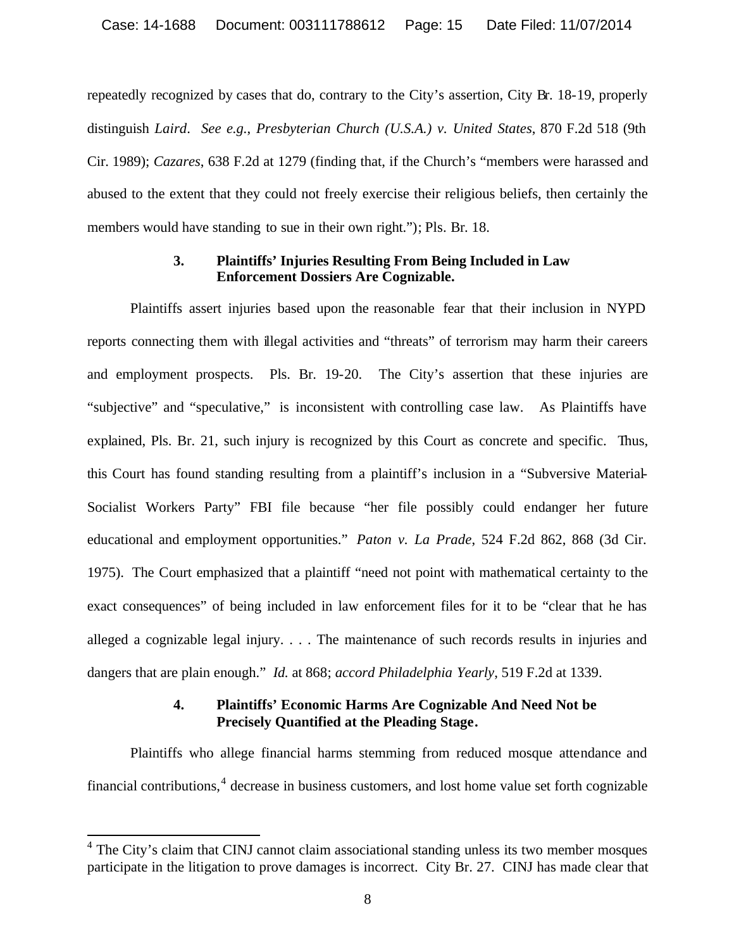repeatedly recognized by cases that do, contrary to the City's assertion, City Br. 18-19, properly distinguish *Laird*. *See e.g.*, *Presbyterian Church (U.S.A.) v. United States*, 870 F.2d 518 (9th Cir. 1989); *Cazares*, 638 F.2d at 1279 (finding that, if the Church's "members were harassed and abused to the extent that they could not freely exercise their religious beliefs, then certainly the members would have standing to sue in their own right."); Pls. Br. 18.

#### **3. Plaintiffs' Injuries Resulting From Being Included in Law Enforcement Dossiers Are Cognizable.**

Plaintiffs assert injuries based upon the reasonable fear that their inclusion in NYPD reports connecting them with illegal activities and "threats" of terrorism may harm their careers and employment prospects. Pls. Br. 19-20. The City's assertion that these injuries are "subjective" and "speculative," is inconsistent with controlling case law. As Plaintiffs have explained, Pls. Br. 21, such injury is recognized by this Court as concrete and specific. Thus, this Court has found standing resulting from a plaintiff's inclusion in a "Subversive Material-Socialist Workers Party" FBI file because "her file possibly could endanger her future educational and employment opportunities." *Paton v. La Prade*, 524 F.2d 862, 868 (3d Cir. 1975). The Court emphasized that a plaintiff "need not point with mathematical certainty to the exact consequences" of being included in law enforcement files for it to be "clear that he has alleged a cognizable legal injury. . . . The maintenance of such records results in injuries and dangers that are plain enough." *Id.* at 868; *accord Philadelphia Yearly*, 519 F.2d at 1339.

# **4. Plaintiffs' Economic Harms Are Cognizable And Need Not be Precisely Quantified at the Pleading Stage.**

Plaintiffs who allege financial harms stemming from reduced mosque attendance and financial contributions,<sup>4</sup> decrease in business customers, and lost home value set forth cognizable

<sup>&</sup>lt;sup>4</sup> The City's claim that CINJ cannot claim associational standing unless its two member mosques participate in the litigation to prove damages is incorrect. City Br. 27. CINJ has made clear that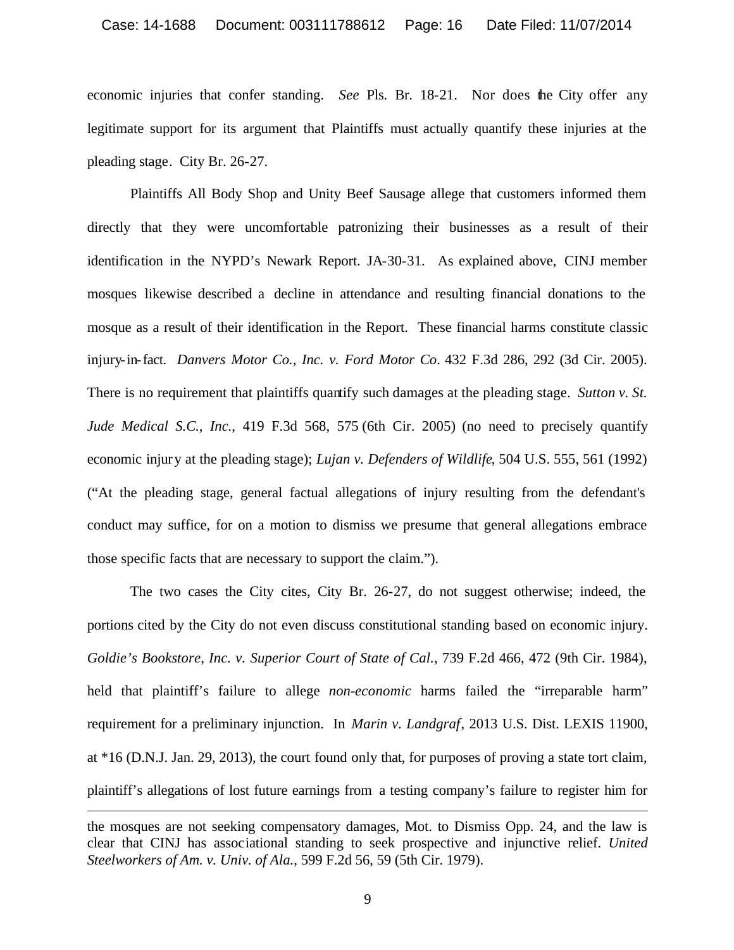economic injuries that confer standing. *See* Pls. Br. 18-21. Nor does the City offer any legitimate support for its argument that Plaintiffs must actually quantify these injuries at the pleading stage. City Br. 26-27.

Plaintiffs All Body Shop and Unity Beef Sausage allege that customers informed them directly that they were uncomfortable patronizing their businesses as a result of their identification in the NYPD's Newark Report. JA-30-31. As explained above, CINJ member mosques likewise described a decline in attendance and resulting financial donations to the mosque as a result of their identification in the Report. These financial harms constitute classic injury-in-fact. *Danvers Motor Co., Inc. v. Ford Motor Co*. 432 F.3d 286, 292 (3d Cir. 2005). There is no requirement that plaintiffs quantify such damages at the pleading stage. *Sutton v. St. Jude Medical S.C., Inc.*, 419 F.3d 568, 575 (6th Cir. 2005) (no need to precisely quantify economic injury at the pleading stage); *Lujan v. Defenders of Wildlife*, 504 U.S. 555, 561 (1992) ("At the pleading stage, general factual allegations of injury resulting from the defendant's conduct may suffice, for on a motion to dismiss we presume that general allegations embrace those specific facts that are necessary to support the claim.").

The two cases the City cites, City Br. 26-27, do not suggest otherwise; indeed, the portions cited by the City do not even discuss constitutional standing based on economic injury. *Goldie's Bookstore, Inc. v. Superior Court of State of Cal.*, 739 F.2d 466, 472 (9th Cir. 1984), held that plaintiff's failure to allege *non-economic* harms failed the "irreparable harm" requirement for a preliminary injunction. In *Marin v. Landgraf*, 2013 U.S. Dist. LEXIS 11900, at \*16 (D.N.J. Jan. 29, 2013), the court found only that, for purposes of proving a state tort claim, plaintiff's allegations of lost future earnings from a testing company's failure to register him for

the mosques are not seeking compensatory damages, Mot. to Dismiss Opp. 24, and the law is clear that CINJ has associational standing to seek prospective and injunctive relief. *United Steelworkers of Am. v. Univ. of Ala.*, 599 F.2d 56, 59 (5th Cir. 1979).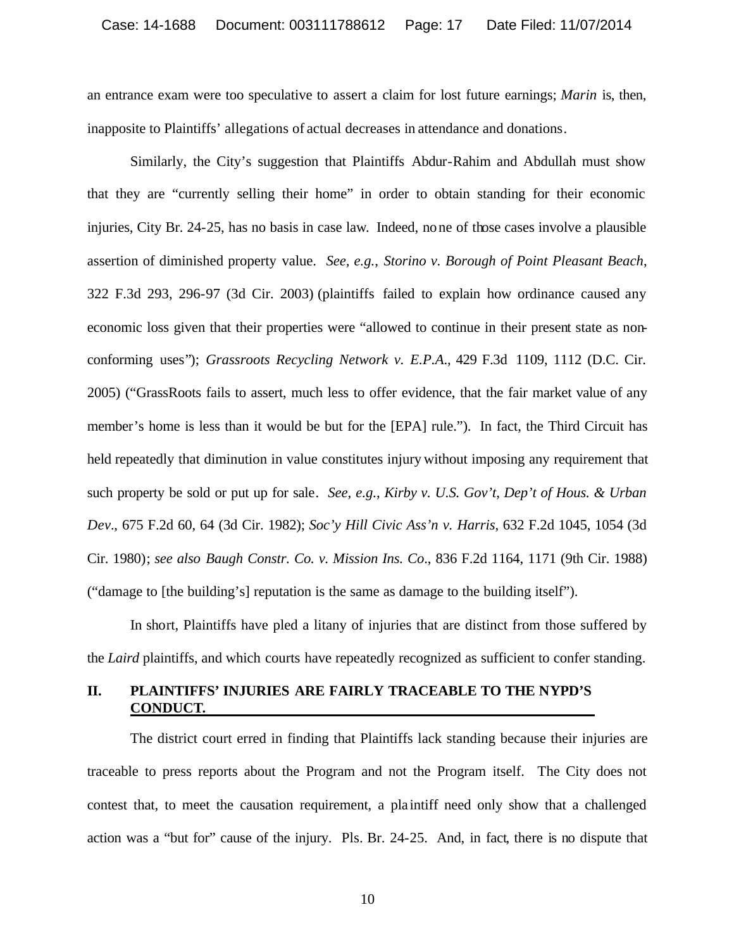an entrance exam were too speculative to assert a claim for lost future earnings; *Marin* is, then, inapposite to Plaintiffs' allegations of actual decreases in attendance and donations.

Similarly, the City's suggestion that Plaintiffs Abdur-Rahim and Abdullah must show that they are "currently selling their home" in order to obtain standing for their economic injuries, City Br. 24-25, has no basis in case law. Indeed, none of those cases involve a plausible assertion of diminished property value. *See, e.g.*, *Storino v. Borough of Point Pleasant Beach*, 322 F.3d 293, 296-97 (3d Cir. 2003) (plaintiffs failed to explain how ordinance caused any economic loss given that their properties were "allowed to continue in their present state as nonconforming uses"); *Grassroots Recycling Network v. E.P.A*., 429 F.3d 1109, 1112 (D.C. Cir. 2005) ("GrassRoots fails to assert, much less to offer evidence, that the fair market value of any member's home is less than it would be but for the [EPA] rule."). In fact, the Third Circuit has held repeatedly that diminution in value constitutes injury without imposing any requirement that such property be sold or put up for sale. *See, e.g.*, *Kirby v. U.S. Gov't, Dep't of Hous. & Urban Dev.*, 675 F.2d 60, 64 (3d Cir. 1982); *Soc'y Hill Civic Ass'n v. Harris*, 632 F.2d 1045, 1054 (3d Cir. 1980); *see also Baugh Constr. Co. v. Mission Ins. Co*., 836 F.2d 1164, 1171 (9th Cir. 1988) ("damage to [the building's] reputation is the same as damage to the building itself").

In short, Plaintiffs have pled a litany of injuries that are distinct from those suffered by the *Laird* plaintiffs, and which courts have repeatedly recognized as sufficient to confer standing.

### **II. PLAINTIFFS' INJURIES ARE FAIRLY TRACEABLE TO THE NYPD'S CONDUCT.**

The district court erred in finding that Plaintiffs lack standing because their injuries are traceable to press reports about the Program and not the Program itself. The City does not contest that, to meet the causation requirement, a pla intiff need only show that a challenged action was a "but for" cause of the injury. Pls. Br. 24-25. And, in fact, there is no dispute that

10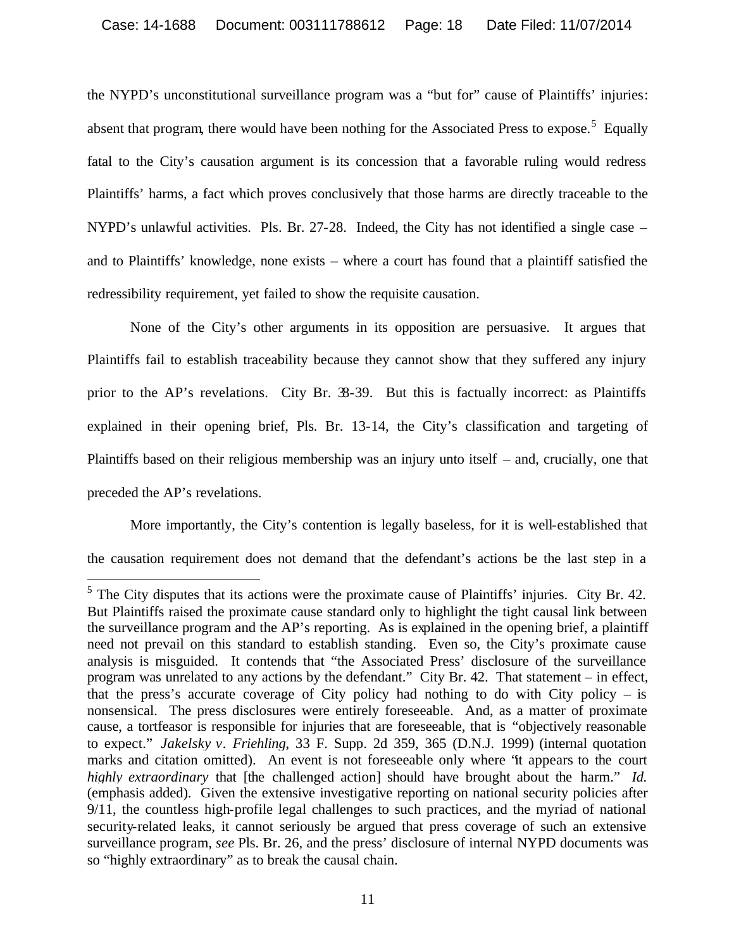the NYPD's unconstitutional surveillance program was a "but for" cause of Plaintiffs' injuries: absent that program, there would have been nothing for the Associated Press to expose.<sup>5</sup> Equally fatal to the City's causation argument is its concession that a favorable ruling would redress Plaintiffs' harms, a fact which proves conclusively that those harms are directly traceable to the NYPD's unlawful activities. Pls. Br. 27-28. Indeed, the City has not identified a single case – and to Plaintiffs' knowledge, none exists – where a court has found that a plaintiff satisfied the redressibility requirement, yet failed to show the requisite causation.

None of the City's other arguments in its opposition are persuasive. It argues that Plaintiffs fail to establish traceability because they cannot show that they suffered any injury prior to the AP's revelations. City Br. 38-39. But this is factually incorrect: as Plaintiffs explained in their opening brief, Pls. Br. 13-14, the City's classification and targeting of Plaintiffs based on their religious membership was an injury unto itself – and, crucially, one that preceded the AP's revelations.

More importantly, the City's contention is legally baseless, for it is well-established that the causation requirement does not demand that the defendant's actions be the last step in a

<sup>&</sup>lt;sup>5</sup> The City disputes that its actions were the proximate cause of Plaintiffs' injuries. City Br. 42. But Plaintiffs raised the proximate cause standard only to highlight the tight causal link between the surveillance program and the AP's reporting. As is explained in the opening brief, a plaintiff need not prevail on this standard to establish standing. Even so, the City's proximate cause analysis is misguided. It contends that "the Associated Press' disclosure of the surveillance program was unrelated to any actions by the defendant." City Br. 42. That statement – in effect, that the press's accurate coverage of City policy had nothing to do with City policy – is nonsensical. The press disclosures were entirely foreseeable. And, as a matter of proximate cause, a tortfeasor is responsible for injuries that are foreseeable, that is "objectively reasonable to expect." *Jakelsky v. Friehling*, 33 F. Supp. 2d 359, 365 (D.N.J. 1999) (internal quotation marks and citation omitted). An event is not foreseeable only where "it appears to the court *highly extraordinary* that [the challenged action] should have brought about the harm." *Id.* (emphasis added). Given the extensive investigative reporting on national security policies after 9/11, the countless high-profile legal challenges to such practices, and the myriad of national security-related leaks, it cannot seriously be argued that press coverage of such an extensive surveillance program, *see* Pls. Br. 26, and the press' disclosure of internal NYPD documents was so "highly extraordinary" as to break the causal chain.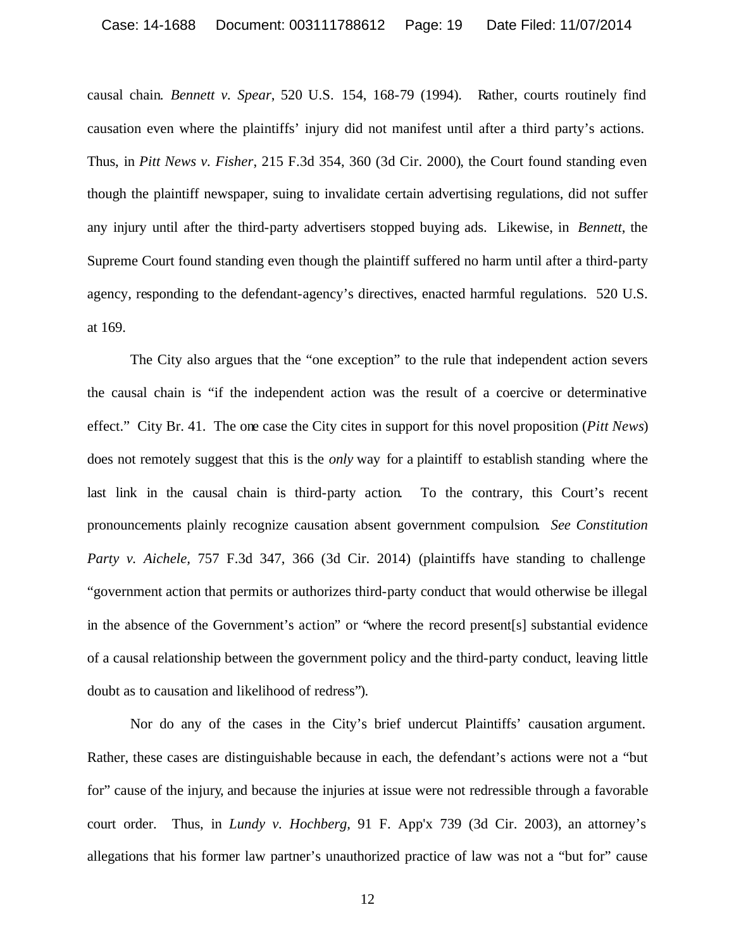#### Case: 14-1688 Document: 003111788612 Page: 19 Date Filed: 11/07/2014

causal chain. *Bennett v. Spear*, 520 U.S. 154, 168-79 (1994). Rather, courts routinely find causation even where the plaintiffs' injury did not manifest until after a third party's actions. Thus, in *Pitt News v. Fisher*, 215 F.3d 354, 360 (3d Cir. 2000), the Court found standing even though the plaintiff newspaper, suing to invalidate certain advertising regulations, did not suffer any injury until after the third-party advertisers stopped buying ads. Likewise, in *Bennett*, the Supreme Court found standing even though the plaintiff suffered no harm until after a third-party agency, responding to the defendant-agency's directives, enacted harmful regulations. 520 U.S. at 169.

The City also argues that the "one exception" to the rule that independent action severs the causal chain is "if the independent action was the result of a coercive or determinative effect." City Br. 41. The one case the City cites in support for this novel proposition (*Pitt News*) does not remotely suggest that this is the *only* way for a plaintiff to establish standing where the last link in the causal chain is third-party action. To the contrary, this Court's recent pronouncements plainly recognize causation absent government compulsion. *See Constitution Party v. Aichele,* 757 F.3d 347, 366 (3d Cir. 2014) (plaintiffs have standing to challenge "government action that permits or authorizes third-party conduct that would otherwise be illegal in the absence of the Government's action" or "where the record present[s] substantial evidence of a causal relationship between the government policy and the third-party conduct, leaving little doubt as to causation and likelihood of redress").

Nor do any of the cases in the City's brief undercut Plaintiffs' causation argument. Rather, these cases are distinguishable because in each, the defendant's actions were not a "but for" cause of the injury, and because the injuries at issue were not redressible through a favorable court order. Thus, in *Lundy v. Hochberg,* 91 F. App'x 739 (3d Cir. 2003), an attorney's allegations that his former law partner's unauthorized practice of law was not a "but for" cause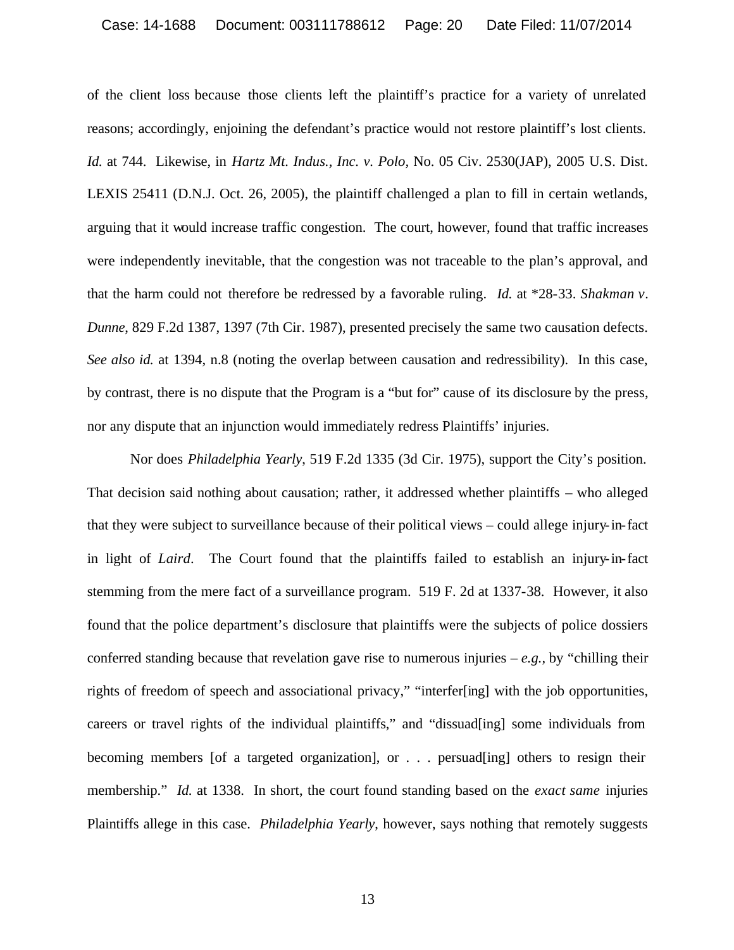of the client loss because those clients left the plaintiff's practice for a variety of unrelated reasons; accordingly, enjoining the defendant's practice would not restore plaintiff's lost clients. *Id.* at 744. Likewise, in *Hartz Mt. Indus., Inc. v. Polo,* No. 05 Civ. 2530(JAP), 2005 U.S. Dist. LEXIS 25411 (D.N.J. Oct. 26, 2005), the plaintiff challenged a plan to fill in certain wetlands, arguing that it would increase traffic congestion. The court, however, found that traffic increases were independently inevitable, that the congestion was not traceable to the plan's approval, and that the harm could not therefore be redressed by a favorable ruling. *Id.* at \*28-33. *Shakman v. Dunne*, 829 F.2d 1387, 1397 (7th Cir. 1987), presented precisely the same two causation defects. *See also id.* at 1394, n.8 (noting the overlap between causation and redressibility). In this case, by contrast, there is no dispute that the Program is a "but for" cause of its disclosure by the press, nor any dispute that an injunction would immediately redress Plaintiffs' injuries.

Nor does *Philadelphia Yearly*, 519 F.2d 1335 (3d Cir. 1975), support the City's position. That decision said nothing about causation; rather, it addressed whether plaintiffs – who alleged that they were subject to surveillance because of their political views – could allege injury-in-fact in light of *Laird*. The Court found that the plaintiffs failed to establish an injury-in-fact stemming from the mere fact of a surveillance program. 519 F. 2d at 1337-38. However, it also found that the police department's disclosure that plaintiffs were the subjects of police dossiers conferred standing because that revelation gave rise to numerous injuries  $-e.g.,$  by "chilling their rights of freedom of speech and associational privacy," "interfer[ing] with the job opportunities, careers or travel rights of the individual plaintiffs," and "dissuad[ing] some individuals from becoming members [of a targeted organization], or . . . persuad[ing] others to resign their membership." *Id.* at 1338. In short, the court found standing based on the *exact same* injuries Plaintiffs allege in this case. *Philadelphia Yearly*, however, says nothing that remotely suggests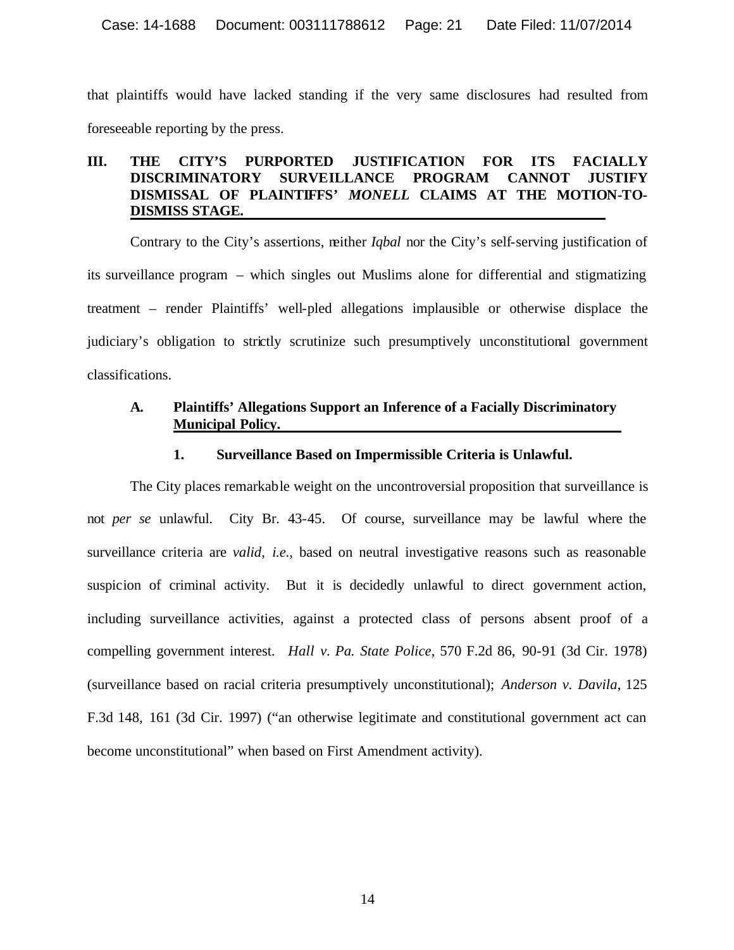that plaintiffs would have lacked standing if the very same disclosures had resulted from foreseeable reporting by the press.

# **III. THE CITY'S PURPORTED JUSTIFICATION FOR ITS FACIALLY DISCRIMINATORY SURVEILLANCE PROGRAM CANNOT JUSTIFY DISMISSAL OF PLAINTIFFS'** *MONELL* **CLAIMS AT THE MOTION-TO-DISMISS STAGE.**

Contrary to the City's assertions, neither *Iqbal* nor the City's self-serving justification of its surveillance program – which singles out Muslims alone for differential and stigmatizing treatment – render Plaintiffs' well-pled allegations implausible or otherwise displace the judiciary's obligation to strictly scrutinize such presumptively unconstitutional government classifications.

# **A. Plaintiffs' Allegations Support an Inference of a Facially Discriminatory Municipal Policy.**

#### **1. Surveillance Based on Impermissible Criteria is Unlawful.**

The City places remarkable weight on the uncontroversial proposition that surveillance is not *per se* unlawful. City Br. 43-45. Of course, surveillance may be lawful where the surveillance criteria are *valid*, *i.e*., based on neutral investigative reasons such as reasonable suspicion of criminal activity. But it is decidedly unlawful to direct government action, including surveillance activities, against a protected class of persons absent proof of a compelling government interest. *Hall v. Pa. State Police*, 570 F.2d 86, 90-91 (3d Cir. 1978) (surveillance based on racial criteria presumptively unconstitutional); *Anderson v. Davila*, 125 F.3d 148, 161 (3d Cir. 1997) ("an otherwise legitimate and constitutional government act can become unconstitutional" when based on First Amendment activity).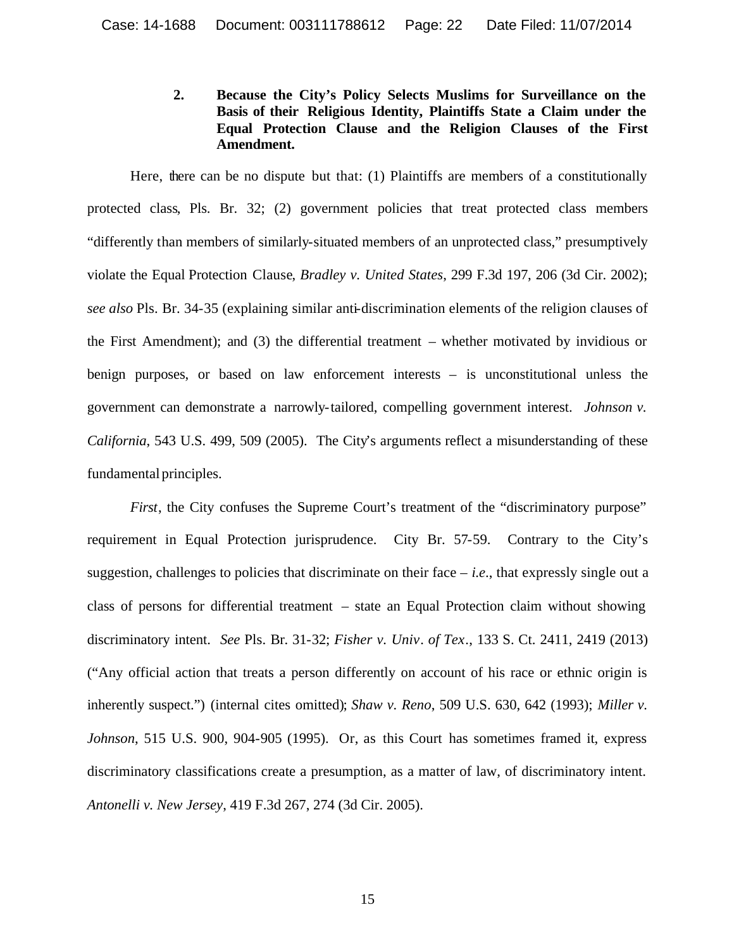**2. Because the City's Policy Selects Muslims for Surveillance on the Basis of their Religious Identity, Plaintiffs State a Claim under the Equal Protection Clause and the Religion Clauses of the First Amendment.** 

Here, there can be no dispute but that: (1) Plaintiffs are members of a constitutionally protected class, Pls. Br. 32; (2) government policies that treat protected class members "differently than members of similarly-situated members of an unprotected class," presumptively violate the Equal Protection Clause, *Bradley v. United States*, 299 F.3d 197, 206 (3d Cir. 2002); *see also* Pls. Br. 34-35 (explaining similar anti-discrimination elements of the religion clauses of the First Amendment); and (3) the differential treatment – whether motivated by invidious or benign purposes, or based on law enforcement interests – is unconstitutional unless the government can demonstrate a narrowly-tailored, compelling government interest. *Johnson v. California*, 543 U.S. 499, 509 (2005). The City's arguments reflect a misunderstanding of these fundamental principles.

*First*, the City confuses the Supreme Court's treatment of the "discriminatory purpose" requirement in Equal Protection jurisprudence. City Br. 57-59. Contrary to the City's suggestion, challenges to policies that discriminate on their face  $-$  *i.e.*, that expressly single out a class of persons for differential treatment – state an Equal Protection claim without showing discriminatory intent. *See* Pls. Br. 31-32; *Fisher v. Univ. of Tex.*, 133 S. Ct. 2411, 2419 (2013) ("Any official action that treats a person differently on account of his race or ethnic origin is inherently suspect.") (internal cites omitted); *Shaw v. Reno*, 509 U.S. 630, 642 (1993); *Miller v. Johnson*, 515 U.S. 900, 904-905 (1995). Or, as this Court has sometimes framed it, express discriminatory classifications create a presumption, as a matter of law, of discriminatory intent. *Antonelli v. New Jersey*, 419 F.3d 267, 274 (3d Cir. 2005).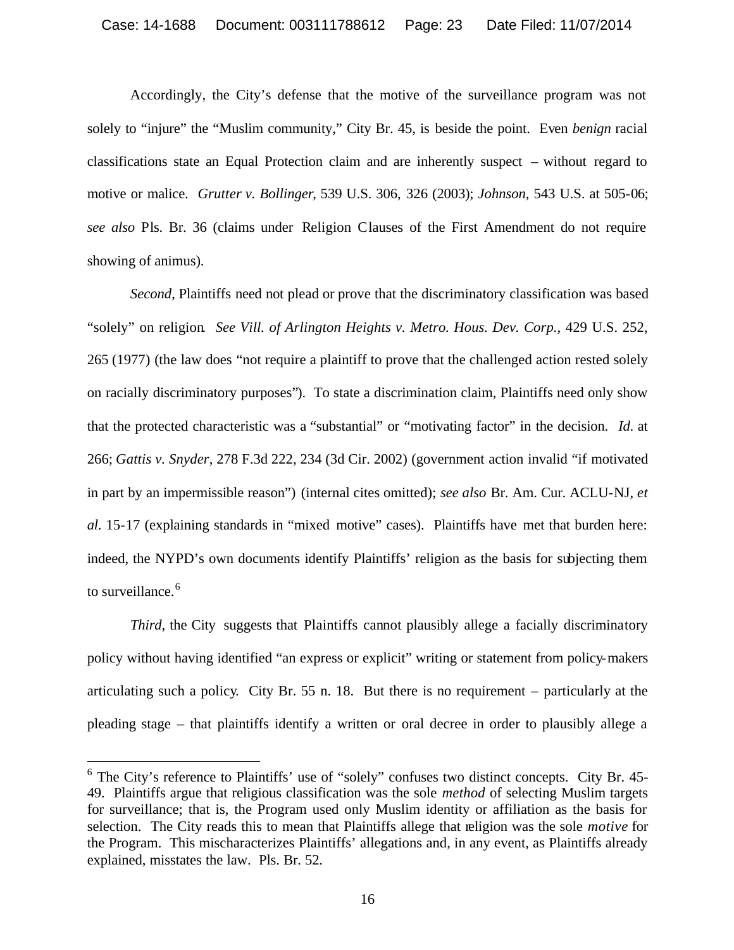Accordingly, the City's defense that the motive of the surveillance program was not solely to "injure" the "Muslim community," City Br. 45, is beside the point. Even *benign* racial classifications state an Equal Protection claim and are inherently suspect – without regard to motive or malice. *Grutter v. Bollinger*, 539 U.S. 306, 326 (2003); *Johnson*, 543 U.S. at 505-06; *see also* Pls. Br. 36 (claims under Religion Clauses of the First Amendment do not require showing of animus).

*Second*, Plaintiffs need not plead or prove that the discriminatory classification was based "solely" on religion. *See Vill. of Arlington Heights v. Metro. Hous. Dev. Corp.*, 429 U.S. 252, 265 (1977) (the law does "not require a plaintiff to prove that the challenged action rested solely on racially discriminatory purposes"). To state a discrimination claim, Plaintiffs need only show that the protected characteristic was a "substantial" or "motivating factor" in the decision. *Id*. at 266; *Gattis v. Snyder*, 278 F.3d 222, 234 (3d Cir. 2002) (government action invalid "if motivated in part by an impermissible reason") (internal cites omitted); *see also* Br. Am. Cur. ACLU-NJ, *et al*. 15-17 (explaining standards in "mixed motive" cases). Plaintiffs have met that burden here: indeed, the NYPD's own documents identify Plaintiffs' religion as the basis for subjecting them to surveillance.<sup>6</sup>

*Third*, the City suggests that Plaintiffs cannot plausibly allege a facially discriminatory policy without having identified "an express or explicit" writing or statement from policy-makers articulating such a policy. City Br. 55 n. 18. But there is no requirement – particularly at the pleading stage – that plaintiffs identify a written or oral decree in order to plausibly allege a

<sup>&</sup>lt;sup>6</sup> The City's reference to Plaintiffs' use of "solely" confuses two distinct concepts. City Br. 45-49. Plaintiffs argue that religious classification was the sole *method* of selecting Muslim targets for surveillance; that is, the Program used only Muslim identity or affiliation as the basis for selection. The City reads this to mean that Plaintiffs allege that religion was the sole *motive* for the Program. This mischaracterizes Plaintiffs' allegations and, in any event, as Plaintiffs already explained, misstates the law. Pls. Br. 52.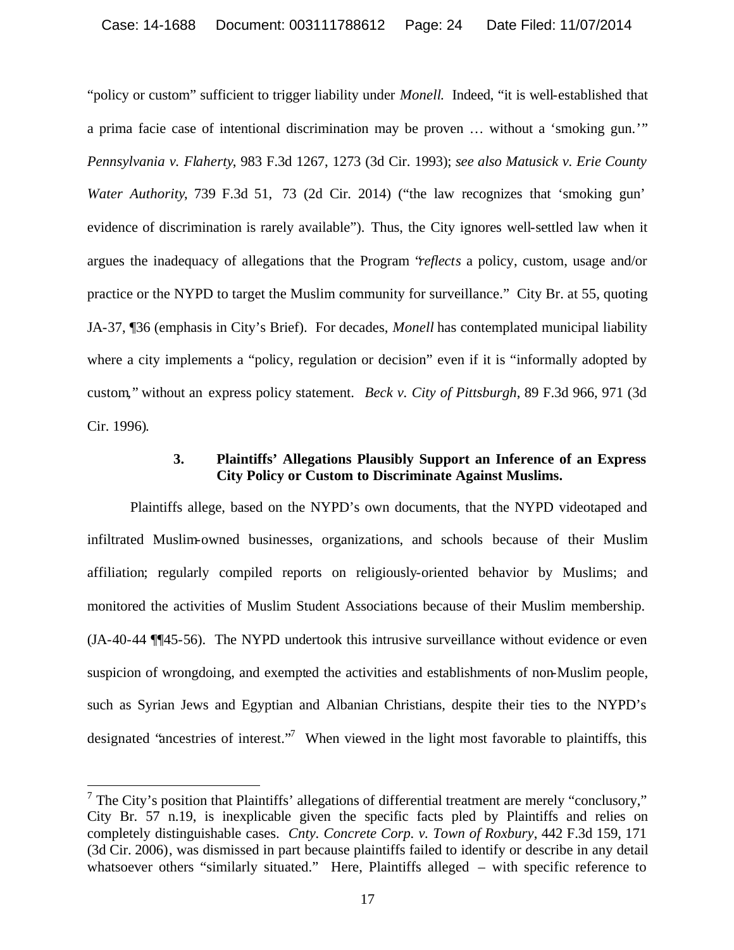"policy or custom" sufficient to trigger liability under *Monell*. Indeed, "it is well-established that a prima facie case of intentional discrimination may be proven … without a 'smoking gun.'" *Pennsylvania v. Flaherty*, 983 F.3d 1267, 1273 (3d Cir. 1993); *see also Matusick v. Erie County Water Authority*, 739 F.3d 51, 73 (2d Cir. 2014) ("the law recognizes that 'smoking gun' evidence of discrimination is rarely available"). Thus, the City ignores well-settled law when it argues the inadequacy of allegations that the Program "*reflects* a policy, custom, usage and/or practice or the NYPD to target the Muslim community for surveillance." City Br. at 55, quoting JA-37, ¶36 (emphasis in City's Brief). For decades, *Monell* has contemplated municipal liability where a city implements a "policy, regulation or decision" even if it is "informally adopted by custom," without an express policy statement. *Beck v. City of Pittsburgh*, 89 F.3d 966, 971 (3d Cir. 1996).

#### **3. Plaintiffs' Allegations Plausibly Support an Inference of an Express City Policy or Custom to Discriminate Against Muslims.**

Plaintiffs allege, based on the NYPD's own documents, that the NYPD videotaped and infiltrated Muslim-owned businesses, organizations, and schools because of their Muslim affiliation; regularly compiled reports on religiously-oriented behavior by Muslims; and monitored the activities of Muslim Student Associations because of their Muslim membership. (JA-40-44 ¶¶45-56). The NYPD undertook this intrusive surveillance without evidence or even suspicion of wrongdoing, and exempted the activities and establishments of non-Muslim people, such as Syrian Jews and Egyptian and Albanian Christians, despite their ties to the NYPD's designated "ancestries of interest."<sup>7</sup> When viewed in the light most favorable to plaintiffs, this

 $7$  The City's position that Plaintiffs' allegations of differential treatment are merely "conclusory," City Br. 57 n.19, is inexplicable given the specific facts pled by Plaintiffs and relies on completely distinguishable cases. *Cnty. Concrete Corp. v. Town of Roxbury*, 442 F.3d 159, 171 (3d Cir. 2006), was dismissed in part because plaintiffs failed to identify or describe in any detail whatsoever others "similarly situated." Here, Plaintiffs alleged – with specific reference to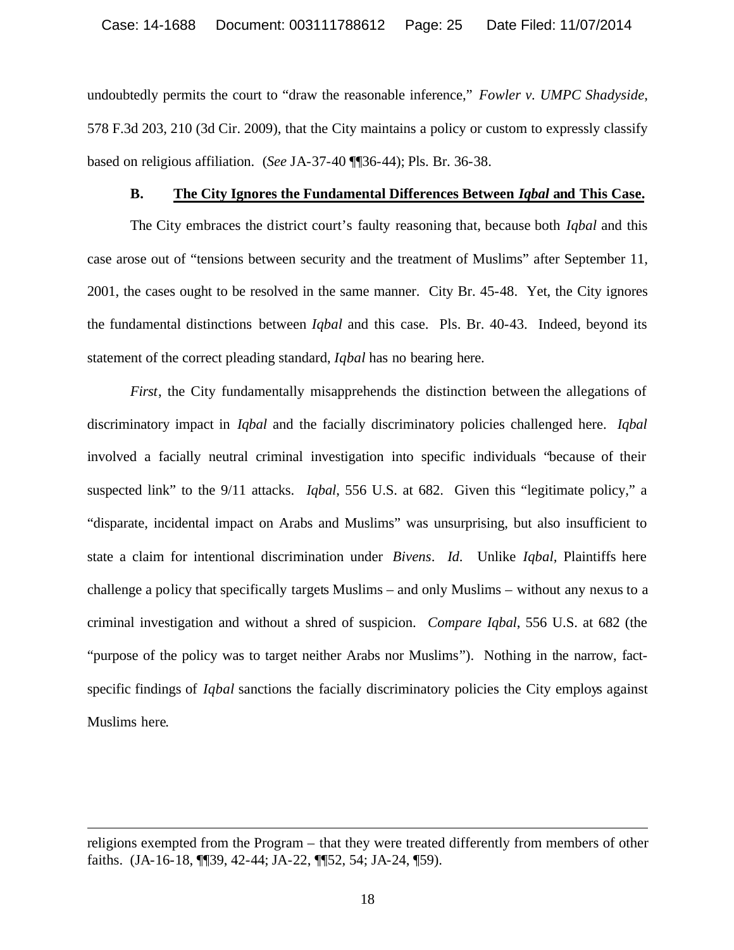undoubtedly permits the court to "draw the reasonable inference," *Fowler v. UMPC Shadyside*, 578 F.3d 203, 210 (3d Cir. 2009), that the City maintains a policy or custom to expressly classify based on religious affiliation. (*See* JA-37-40 ¶¶36-44); Pls. Br. 36-38.

#### **B. The City Ignores the Fundamental Differences Between** *Iqbal* **and This Case.**

The City embraces the district court's faulty reasoning that, because both *Iqbal* and this case arose out of "tensions between security and the treatment of Muslims" after September 11, 2001, the cases ought to be resolved in the same manner. City Br. 45-48. Yet, the City ignores the fundamental distinctions between *Iqbal* and this case. Pls. Br. 40-43. Indeed, beyond its statement of the correct pleading standard, *Iqbal* has no bearing here.

*First*, the City fundamentally misapprehends the distinction between the allegations of discriminatory impact in *Iqbal* and the facially discriminatory policies challenged here. *Iqbal* involved a facially neutral criminal investigation into specific individuals "because of their suspected link" to the 9/11 attacks. *Iqbal*, 556 U.S. at 682. Given this "legitimate policy," a "disparate, incidental impact on Arabs and Muslims" was unsurprising, but also insufficient to state a claim for intentional discrimination under *Bivens*. *Id*. Unlike *Iqbal,* Plaintiffs here challenge a policy that specifically targets Muslims – and only Muslims – without any nexus to a criminal investigation and without a shred of suspicion. *Compare Iqbal*, 556 U.S. at 682 (the "purpose of the policy was to target neither Arabs nor Muslims"). Nothing in the narrow, factspecific findings of *Iqbal* sanctions the facially discriminatory policies the City employs against Muslims here.

religions exempted from the Program – that they were treated differently from members of other faiths. (JA-16-18, ¶¶39, 42-44; JA-22, ¶¶52, 54; JA-24, ¶59).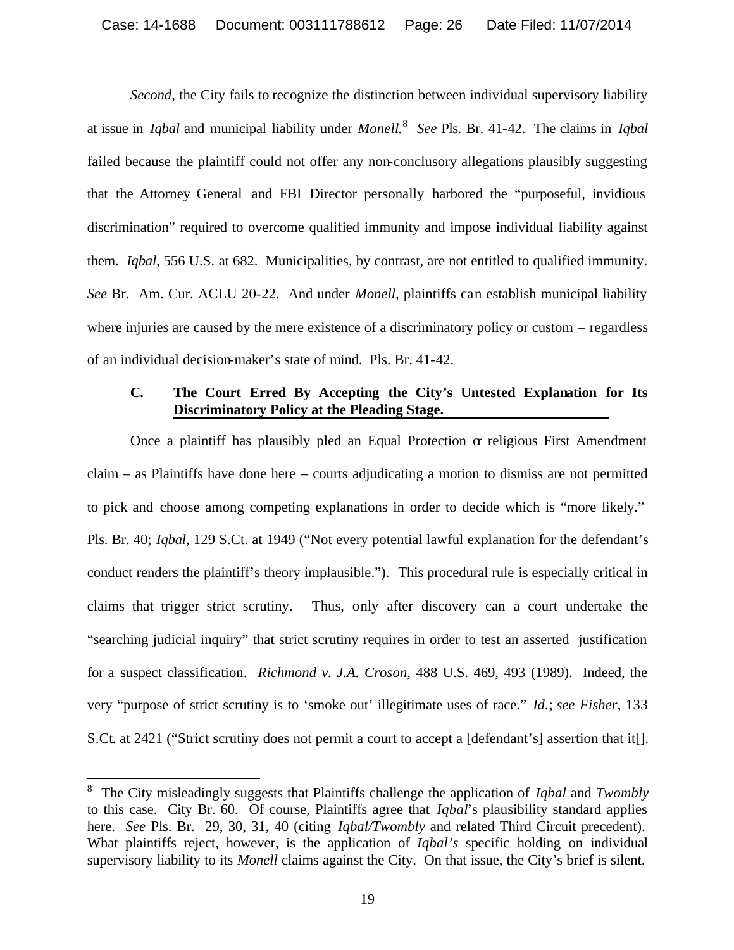*Second*, the City fails to recognize the distinction between individual supervisory liability at issue in *Iqbal* and municipal liability under *Monell*. 8 *See* Pls. Br. 41-42. The claims in *Iqbal* failed because the plaintiff could not offer any non-conclusory allegations plausibly suggesting that the Attorney General and FBI Director personally harbored the "purposeful, invidious discrimination" required to overcome qualified immunity and impose individual liability against them. *Iqbal*, 556 U.S. at 682. Municipalities, by contrast, are not entitled to qualified immunity. *See* Br. Am. Cur. ACLU 20-22. And under *Monell*, plaintiffs can establish municipal liability where injuries are caused by the mere existence of a discriminatory policy or custom – regardless of an individual decision-maker's state of mind. Pls. Br. 41-42.

## **C. The Court Erred By Accepting the City's Untested Explanation for Its Discriminatory Policy at the Pleading Stage.**

Once a plaintiff has plausibly pled an Equal Protection  $\alpha$  religious First Amendment claim – as Plaintiffs have done here – courts adjudicating a motion to dismiss are not permitted to pick and choose among competing explanations in order to decide which is "more likely." Pls. Br. 40; *Iqbal*, 129 S.Ct. at 1949 ("Not every potential lawful explanation for the defendant's conduct renders the plaintiff's theory implausible."). This procedural rule is especially critical in claims that trigger strict scrutiny. Thus, only after discovery can a court undertake the "searching judicial inquiry" that strict scrutiny requires in order to test an asserted justification for a suspect classification. *Richmond v. J.A. Croson*, 488 U.S. 469, 493 (1989). Indeed, the very "purpose of strict scrutiny is to 'smoke out' illegitimate uses of race." *Id*.; *see Fisher*, 133 S.Ct. at 2421 ("Strict scrutiny does not permit a court to accept a [defendant's] assertion that it[].

<sup>8</sup> The City misleadingly suggests that Plaintiffs challenge the application of *Iqbal* and *Twombly* to this case. City Br. 60. Of course, Plaintiffs agree that *Iqbal*'s plausibility standard applies here. *See* Pls. Br. 29, 30, 31, 40 (citing *Iqbal/Twombly* and related Third Circuit precedent). What plaintiffs reject, however, is the application of *Iqbal's* specific holding on individual supervisory liability to its *Monell* claims against the City. On that issue, the City's brief is silent.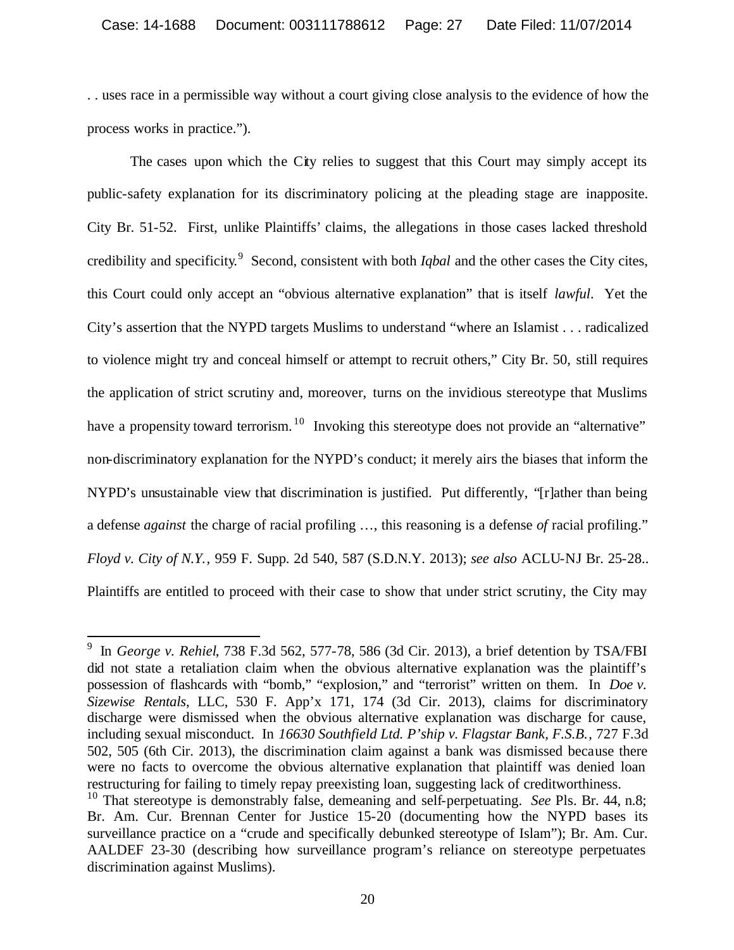. . uses race in a permissible way without a court giving close analysis to the evidence of how the process works in practice.").

The cases upon which the City relies to suggest that this Court may simply accept its public-safety explanation for its discriminatory policing at the pleading stage are inapposite. City Br. 51-52. First, unlike Plaintiffs' claims, the allegations in those cases lacked threshold credibility and specificity. 9 Second, consistent with both *Iqbal* and the other cases the City cites, this Court could only accept an "obvious alternative explanation" that is itself *lawful*. Yet the City's assertion that the NYPD targets Muslims to understand "where an Islamist . . . radicalized to violence might try and conceal himself or attempt to recruit others," City Br. 50, still requires the application of strict scrutiny and, moreover, turns on the invidious stereotype that Muslims have a propensity toward terrorism.<sup>10</sup> Invoking this stereotype does not provide an "alternative" non-discriminatory explanation for the NYPD's conduct; it merely airs the biases that inform the NYPD's unsustainable view that discrimination is justified. Put differently, "[r]ather than being a defense *against* the charge of racial profiling …, this reasoning is a defense *of* racial profiling." *Floyd v. City of N.Y.*, 959 F. Supp. 2d 540, 587 (S.D.N.Y. 2013); *see also* ACLU-NJ Br. 25-28.. Plaintiffs are entitled to proceed with their case to show that under strict scrutiny, the City may

<sup>9</sup> In *George v. Rehiel*, 738 F.3d 562, 577-78, 586 (3d Cir. 2013), a brief detention by TSA/FBI did not state a retaliation claim when the obvious alternative explanation was the plaintiff's possession of flashcards with "bomb," "explosion," and "terrorist" written on them. In *Doe v. Sizewise Rentals*, LLC, 530 F. App'x 171, 174 (3d Cir. 2013), claims for discriminatory discharge were dismissed when the obvious alternative explanation was discharge for cause, including sexual misconduct. In *16630 Southfield Ltd. P'ship v. Flagstar Bank, F.S.B.*, 727 F.3d 502, 505 (6th Cir. 2013), the discrimination claim against a bank was dismissed because there were no facts to overcome the obvious alternative explanation that plaintiff was denied loan restructuring for failing to timely repay preexisting loan, suggesting lack of creditworthiness.

<sup>10</sup> That stereotype is demonstrably false, demeaning and self-perpetuating. *See* Pls. Br. 44, n.8; Br. Am. Cur. Brennan Center for Justice 15-20 (documenting how the NYPD bases its surveillance practice on a "crude and specifically debunked stereotype of Islam"); Br. Am. Cur. AALDEF 23-30 (describing how surveillance program's reliance on stereotype perpetuates discrimination against Muslims).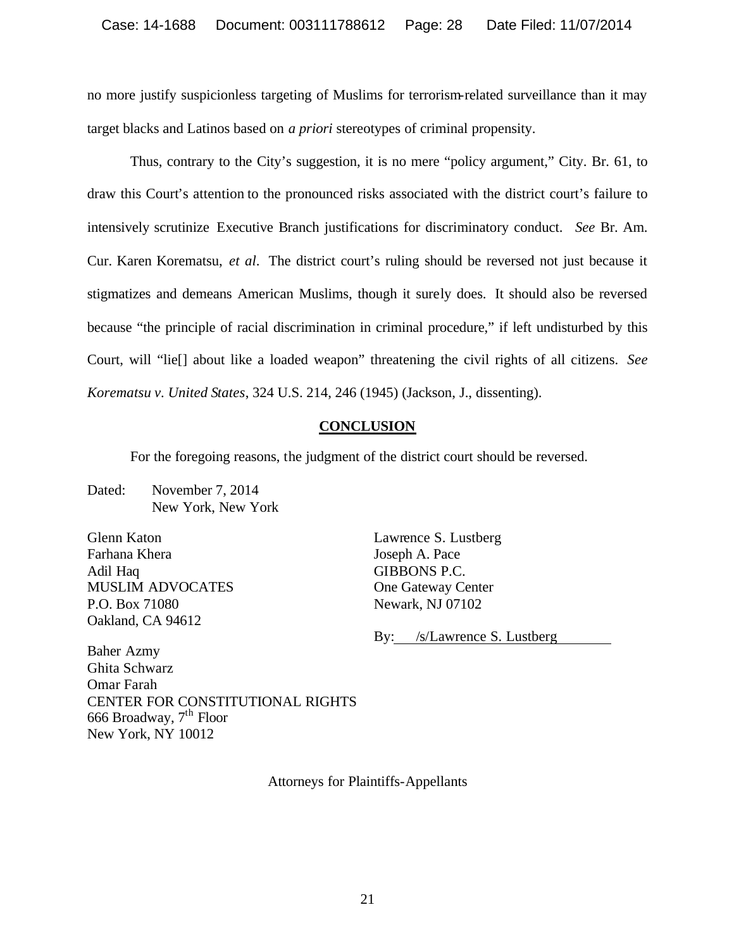no more justify suspicionless targeting of Muslims for terrorism-related surveillance than it may target blacks and Latinos based on *a priori* stereotypes of criminal propensity.

Thus, contrary to the City's suggestion, it is no mere "policy argument," City. Br. 61, to draw this Court's attention to the pronounced risks associated with the district court's failure to intensively scrutinize Executive Branch justifications for discriminatory conduct. *See* Br. Am. Cur. Karen Korematsu, *et al*. The district court's ruling should be reversed not just because it stigmatizes and demeans American Muslims, though it surely does. It should also be reversed because "the principle of racial discrimination in criminal procedure," if left undisturbed by this Court, will "lie[] about like a loaded weapon" threatening the civil rights of all citizens. *See Korematsu v. United States*, 324 U.S. 214, 246 (1945) (Jackson, J., dissenting).

# **CONCLUSION**

For the foregoing reasons, the judgment of the district court should be reversed.

Dated: November 7, 2014 New York, New York

Glenn Katon Farhana Khera Adil Haq MUSLIM ADVOCATES P.O. Box 71080 Oakland, CA 94612

Lawrence S. Lustberg Joseph A. Pace GIBBONS P.C. One Gateway Center Newark, NJ 07102

By: /s/Lawrence S. Lustberg

Baher Azmy Ghita Schwarz Omar Farah CENTER FOR CONSTITUTIONAL RIGHTS 666 Broadway, 7th Floor New York, NY 10012

Attorneys for Plaintiffs-Appellants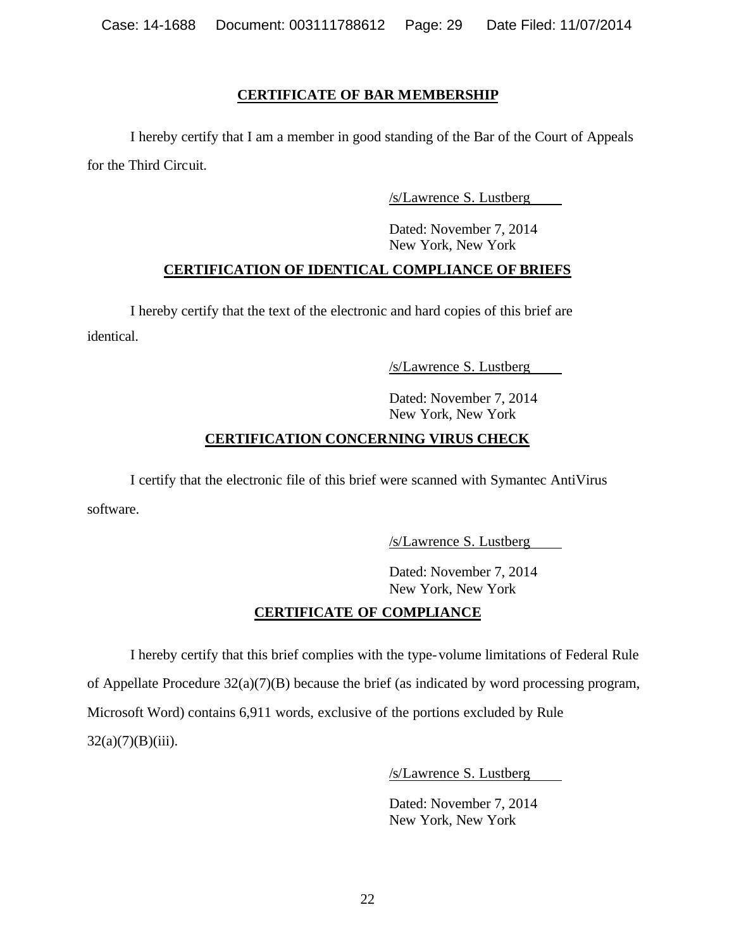## **CERTIFICATE OF BAR MEMBERSHIP**

I hereby certify that I am a member in good standing of the Bar of the Court of Appeals for the Third Circuit.

/s/Lawrence S. Lustberg

Dated: November 7, 2014 New York, New York

# **CERTIFICATION OF IDENTICAL COMPLIANCE OF BRIEFS**

I hereby certify that the text of the electronic and hard copies of this brief are identical.

/s/Lawrence S. Lustberg

Dated: November 7, 2014 New York, New York

# **CERTIFICATION CONCERNING VIRUS CHECK**

I certify that the electronic file of this brief were scanned with Symantec AntiVirus software.

/s/Lawrence S. Lustberg

Dated: November 7, 2014 New York, New York

# **CERTIFICATE OF COMPLIANCE**

I hereby certify that this brief complies with the type-volume limitations of Federal Rule of Appellate Procedure 32(a)(7)(B) because the brief (as indicated by word processing program, Microsoft Word) contains 6,911 words, exclusive of the portions excluded by Rule  $32(a)(7)(B)(iii)$ .

/s/Lawrence S. Lustberg

Dated: November 7, 2014 New York, New York